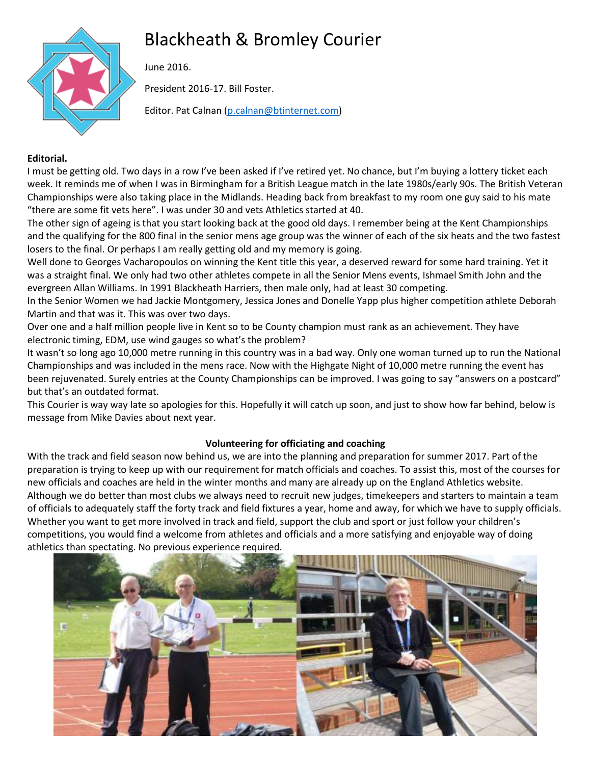# Blackheath & Bromley Courier



June 2016.

President 2016-17. Bill Foster.

Editor. Pat Calnan [\(p.calnan@btinternet.com\)](mailto:p.calnan@btinternet.com)

# **Editorial.**

I must be getting old. Two days in a row I've been asked if I've retired yet. No chance, but I'm buying a lottery ticket each week. It reminds me of when I was in Birmingham for a British League match in the late 1980s/early 90s. The British Veteran Championships were also taking place in the Midlands. Heading back from breakfast to my room one guy said to his mate "there are some fit vets here". I was under 30 and vets Athletics started at 40.

The other sign of ageing is that you start looking back at the good old days. I remember being at the Kent Championships and the qualifying for the 800 final in the senior mens age group was the winner of each of the six heats and the two fastest losers to the final. Or perhaps I am really getting old and my memory is going.

Well done to Georges Vacharopoulos on winning the Kent title this year, a deserved reward for some hard training. Yet it was a straight final. We only had two other athletes compete in all the Senior Mens events, Ishmael Smith John and the evergreen Allan Williams. In 1991 Blackheath Harriers, then male only, had at least 30 competing.

In the Senior Women we had Jackie Montgomery, Jessica Jones and Donelle Yapp plus higher competition athlete Deborah Martin and that was it. This was over two days.

Over one and a half million people live in Kent so to be County champion must rank as an achievement. They have electronic timing, EDM, use wind gauges so what's the problem?

It wasn't so long ago 10,000 metre running in this country was in a bad way. Only one woman turned up to run the National Championships and was included in the mens race. Now with the Highgate Night of 10,000 metre running the event has been rejuvenated. Surely entries at the County Championships can be improved. I was going to say "answers on a postcard" but that's an outdated format.

This Courier is way way late so apologies for this. Hopefully it will catch up soon, and just to show how far behind, below is message from Mike Davies about next year.

### **Volunteering for officiating and coaching**

With the track and field season now behind us, we are into the planning and preparation for summer 2017. Part of the preparation is trying to keep up with our requirement for match officials and coaches. To assist this, most of the courses for new officials and coaches are held in the winter months and many are already up on the England Athletics website. Although we do better than most clubs we always need to recruit new judges, timekeepers and starters to maintain a team of officials to adequately staff the forty track and field fixtures a year, home and away, for which we have to supply officials. Whether you want to get more involved in track and field, support the club and sport or just follow your children's competitions, you would find a welcome from athletes and officials and a more satisfying and enjoyable way of doing athletics than spectating. No previous experience required.

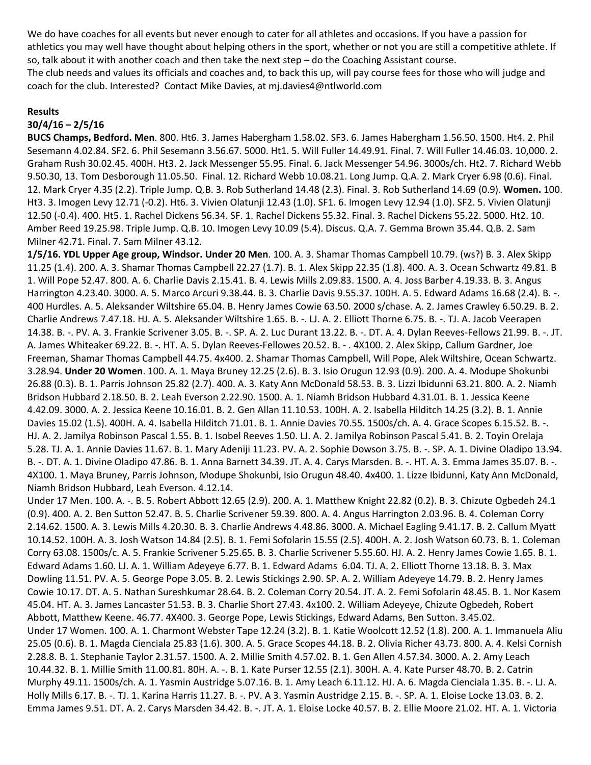We do have coaches for all events but never enough to cater for all athletes and occasions. If you have a passion for athletics you may well have thought about helping others in the sport, whether or not you are still a competitive athlete. If so, talk about it with another coach and then take the next step – do the Coaching Assistant course. The club needs and values its officials and coaches and, to back this up, will pay course fees for those who will judge and coach for the club. Interested? Contact Mike Davies, at mj.davies4@ntlworld.com

#### **Results**

### **30/4/16 – 2/5/16**

**BUCS Champs, Bedford. Men**. 800. Ht6. 3. James Habergham 1.58.02. SF3. 6. James Habergham 1.56.50. 1500. Ht4. 2. Phil Sesemann 4.02.84. SF2. 6. Phil Sesemann 3.56.67. 5000. Ht1. 5. Will Fuller 14.49.91. Final. 7. Will Fuller 14.46.03. 10,000. 2. Graham Rush 30.02.45. 400H. Ht3. 2. Jack Messenger 55.95. Final. 6. Jack Messenger 54.96. 3000s/ch. Ht2. 7. Richard Webb 9.50.30, 13. Tom Desborough 11.05.50. Final. 12. Richard Webb 10.08.21. Long Jump. Q.A. 2. Mark Cryer 6.98 (0.6). Final. 12. Mark Cryer 4.35 (2.2). Triple Jump. Q.B. 3. Rob Sutherland 14.48 (2.3). Final. 3. Rob Sutherland 14.69 (0.9). **Women.** 100. Ht3. 3. Imogen Levy 12.71 (-0.2). Ht6. 3. Vivien Olatunji 12.43 (1.0). SF1. 6. Imogen Levy 12.94 (1.0). SF2. 5. Vivien Olatunji 12.50 (-0.4). 400. Ht5. 1. Rachel Dickens 56.34. SF. 1. Rachel Dickens 55.32. Final. 3. Rachel Dickens 55.22. 5000. Ht2. 10. Amber Reed 19.25.98. Triple Jump. Q.B. 10. Imogen Levy 10.09 (5.4). Discus. Q.A. 7. Gemma Brown 35.44. Q.B. 2. Sam Milner 42.71. Final. 7. Sam Milner 43.12.

**1/5/16. YDL Upper Age group, Windsor. Under 20 Men**. 100. A. 3. Shamar Thomas Campbell 10.79. (ws?) B. 3. Alex Skipp 11.25 (1.4). 200. A. 3. Shamar Thomas Campbell 22.27 (1.7). B. 1. Alex Skipp 22.35 (1.8). 400. A. 3. Ocean Schwartz 49.81. B 1. Will Pope 52.47. 800. A. 6. Charlie Davis 2.15.41. B. 4. Lewis Mills 2.09.83. 1500. A. 4. Joss Barber 4.19.33. B. 3. Angus Harrington 4.23.40. 3000. A. 5. Marco Arcuri 9.38.44. B. 3. Charlie Davis 9.55.37. 100H. A. 5. Edward Adams 16.68 (2.4). B. -. 400 Hurdles. A. 5. Aleksander Wiltshire 65.04. B. Henry James Cowie 63.50. 2000 s/chase. A. 2. James Crawley 6.50.29. B. 2. Charlie Andrews 7.47.18. HJ. A. 5. Aleksander Wiltshire 1.65. B. -. LJ. A. 2. Elliott Thorne 6.75. B. -. TJ. A. Jacob Veerapen 14.38. B. -. PV. A. 3. Frankie Scrivener 3.05. B. -. SP. A. 2. Luc Durant 13.22. B. -. DT. A. 4. Dylan Reeves-Fellows 21.99. B. -. JT. A. James Whiteaker 69.22. B. -. HT. A. 5. Dylan Reeves-Fellowes 20.52. B. - . 4X100. 2. Alex Skipp, Callum Gardner, Joe Freeman, Shamar Thomas Campbell 44.75. 4x400. 2. Shamar Thomas Campbell, Will Pope, Alek Wiltshire, Ocean Schwartz. 3.28.94. **Under 20 Women**. 100. A. 1. Maya Bruney 12.25 (2.6). B. 3. Isio Orugun 12.93 (0.9). 200. A. 4. Modupe Shokunbi 26.88 (0.3). B. 1. Parris Johnson 25.82 (2.7). 400. A. 3. Katy Ann McDonald 58.53. B. 3. Lizzi Ibidunni 63.21. 800. A. 2. Niamh Bridson Hubbard 2.18.50. B. 2. Leah Everson 2.22.90. 1500. A. 1. Niamh Bridson Hubbard 4.31.01. B. 1. Jessica Keene 4.42.09. 3000. A. 2. Jessica Keene 10.16.01. B. 2. Gen Allan 11.10.53. 100H. A. 2. Isabella Hilditch 14.25 (3.2). B. 1. Annie Davies 15.02 (1.5). 400H. A. 4. Isabella Hilditch 71.01. B. 1. Annie Davies 70.55. 1500s/ch. A. 4. Grace Scopes 6.15.52. B. -. HJ. A. 2. Jamilya Robinson Pascal 1.55. B. 1. Isobel Reeves 1.50. LJ. A. 2. Jamilya Robinson Pascal 5.41. B. 2. Toyin Orelaja 5.28. TJ. A. 1. Annie Davies 11.67. B. 1. Mary Adeniji 11.23. PV. A. 2. Sophie Dowson 3.75. B. -. SP. A. 1. Divine Oladipo 13.94. B. -. DT. A. 1. Divine Oladipo 47.86. B. 1. Anna Barnett 34.39. JT. A. 4. Carys Marsden. B. -. HT. A. 3. Emma James 35.07. B. -. 4X100. 1. Maya Bruney, Parris Johnson, Modupe Shokunbi, Isio Orugun 48.40. 4x400. 1. Lizze Ibidunni, Katy Ann McDonald, Niamh Bridson Hubbard, Leah Everson. 4.12.14.

Under 17 Men. 100. A. -. B. 5. Robert Abbott 12.65 (2.9). 200. A. 1. Matthew Knight 22.82 (0.2). B. 3. Chizute Ogbedeh 24.1 (0.9). 400. A. 2. Ben Sutton 52.47. B. 5. Charlie Scrivener 59.39. 800. A. 4. Angus Harrington 2.03.96. B. 4. Coleman Corry 2.14.62. 1500. A. 3. Lewis Mills 4.20.30. B. 3. Charlie Andrews 4.48.86. 3000. A. Michael Eagling 9.41.17. B. 2. Callum Myatt 10.14.52. 100H. A. 3. Josh Watson 14.84 (2.5). B. 1. Femi Sofolarin 15.55 (2.5). 400H. A. 2. Josh Watson 60.73. B. 1. Coleman Corry 63.08. 1500s/c. A. 5. Frankie Scrivener 5.25.65. B. 3. Charlie Scrivener 5.55.60. HJ. A. 2. Henry James Cowie 1.65. B. 1. Edward Adams 1.60. LJ. A. 1. William Adeyeye 6.77. B. 1. Edward Adams 6.04. TJ. A. 2. Elliott Thorne 13.18. B. 3. Max Dowling 11.51. PV. A. 5. George Pope 3.05. B. 2. Lewis Stickings 2.90. SP. A. 2. William Adeyeye 14.79. B. 2. Henry James Cowie 10.17. DT. A. 5. Nathan Sureshkumar 28.64. B. 2. Coleman Corry 20.54. JT. A. 2. Femi Sofolarin 48.45. B. 1. Nor Kasem 45.04. HT. A. 3. James Lancaster 51.53. B. 3. Charlie Short 27.43. 4x100. 2. William Adeyeye, Chizute Ogbedeh, Robert Abbott, Matthew Keene. 46.77. 4X400. 3. George Pope, Lewis Stickings, Edward Adams, Ben Sutton. 3.45.02. Under 17 Women. 100. A. 1. Charmont Webster Tape 12.24 (3.2). B. 1. Katie Woolcott 12.52 (1.8). 200. A. 1. Immanuela Aliu 25.05 (0.6). B. 1. Magda Cienciala 25.83 (1.6). 300. A. 5. Grace Scopes 44.18. B. 2. Olivia Richer 43.73. 800. A. 4. Kelsi Cornish 2.28.8. B. 1. Stephanie Taylor 2.31.57. 1500. A. 2. Millie Smith 4.57.02. B. 1. Gen Allen 4.57.34. 3000. A. 2. Amy Leach 10.44.32. B. 1. Millie Smith 11.00.81. 80H. A. -. B. 1. Kate Purser 12.55 (2.1). 300H. A. 4. Kate Purser 48.70. B. 2. Catrin Murphy 49.11. 1500s/ch. A. 1. Yasmin Austridge 5.07.16. B. 1. Amy Leach 6.11.12. HJ. A. 6. Magda Cienciala 1.35. B. -. LJ. A. Holly Mills 6.17. B. -. TJ. 1. Karina Harris 11.27. B. -. PV. A 3. Yasmin Austridge 2.15. B. -. SP. A. 1. Eloise Locke 13.03. B. 2. Emma James 9.51. DT. A. 2. Carys Marsden 34.42. B. -. JT. A. 1. Eloise Locke 40.57. B. 2. Ellie Moore 21.02. HT. A. 1. Victoria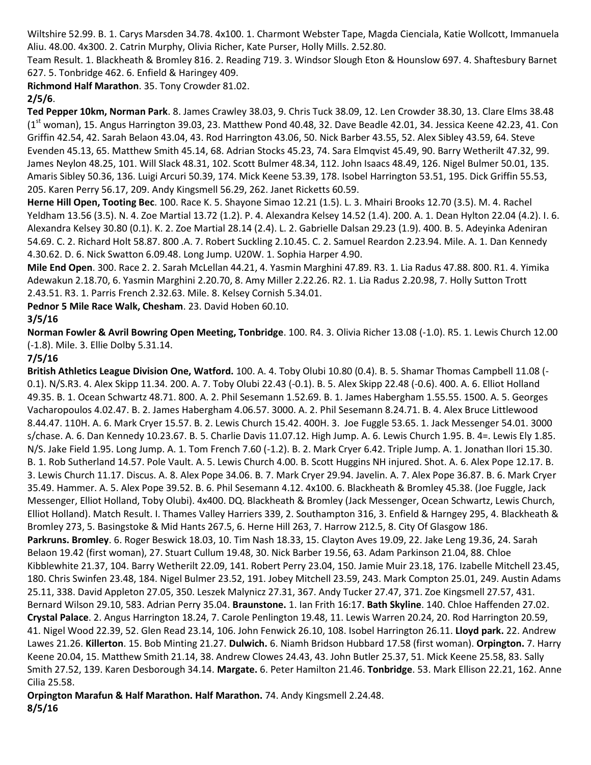Wiltshire 52.99. B. 1. Carys Marsden 34.78. 4x100. 1. Charmont Webster Tape, Magda Cienciala, Katie Wollcott, Immanuela Aliu. 48.00. 4x300. 2. Catrin Murphy, Olivia Richer, Kate Purser, Holly Mills. 2.52.80.

Team Result. 1. Blackheath & Bromley 816. 2. Reading 719. 3. Windsor Slough Eton & Hounslow 697. 4. Shaftesbury Barnet 627. 5. Tonbridge 462. 6. Enfield & Haringey 409.

**Richmond Half Marathon**. 35. Tony Crowder 81.02.

# **2/5/6**.

**Ted Pepper 10km, Norman Park**. 8. James Crawley 38.03, 9. Chris Tuck 38.09, 12. Len Crowder 38.30, 13. Clare Elms 38.48  $(1<sup>st</sup>$  woman), 15. Angus Harrington 39.03, 23. Matthew Pond 40.48, 32. Dave Beadle 42.01, 34. Jessica Keene 42.23, 41. Con Griffin 42.54, 42. Sarah Belaon 43.04, 43. Rod Harrington 43.06, 50. Nick Barber 43.55, 52. Alex Sibley 43.59, 64. Steve Evenden 45.13, 65. Matthew Smith 45.14, 68. Adrian Stocks 45.23, 74. Sara Elmqvist 45.49, 90. Barry Wetherilt 47.32, 99. James Neylon 48.25, 101. Will Slack 48.31, 102. Scott Bulmer 48.34, 112. John Isaacs 48.49, 126. Nigel Bulmer 50.01, 135. Amaris Sibley 50.36, 136. Luigi Arcuri 50.39, 174. Mick Keene 53.39, 178. Isobel Harrington 53.51, 195. Dick Griffin 55.53, 205. Karen Perry 56.17, 209. Andy Kingsmell 56.29, 262. Janet Ricketts 60.59.

**Herne Hill Open, Tooting Bec**. 100. Race K. 5. Shayone Simao 12.21 (1.5). L. 3. Mhairi Brooks 12.70 (3.5). M. 4. Rachel Yeldham 13.56 (3.5). N. 4. Zoe Martial 13.72 (1.2). P. 4. Alexandra Kelsey 14.52 (1.4). 200. A. 1. Dean Hylton 22.04 (4.2). I. 6. Alexandra Kelsey 30.80 (0.1). K. 2. Zoe Martial 28.14 (2.4). L. 2. Gabrielle Dalsan 29.23 (1.9). 400. B. 5. Adeyinka Adeniran 54.69. C. 2. Richard Holt 58.87. 800 .A. 7. Robert Suckling 2.10.45. C. 2. Samuel Reardon 2.23.94. Mile. A. 1. Dan Kennedy 4.30.62. D. 6. Nick Swatton 6.09.48. Long Jump. U20W. 1. Sophia Harper 4.90.

**Mile End Open**. 300. Race 2. 2. Sarah McLellan 44.21, 4. Yasmin Marghini 47.89. R3. 1. Lia Radus 47.88. 800. R1. 4. Yimika Adewakun 2.18.70, 6. Yasmin Marghini 2.20.70, 8. Amy Miller 2.22.26. R2. 1. Lia Radus 2.20.98, 7. Holly Sutton Trott 2.43.51. R3. 1. Parris French 2.32.63. Mile. 8. Kelsey Cornish 5.34.01.

**Pednor 5 Mile Race Walk, Chesham**. 23. David Hoben 60.10.

# **3/5/16**

**Norman Fowler & Avril Bowring Open Meeting, Tonbridge**. 100. R4. 3. Olivia Richer 13.08 (-1.0). R5. 1. Lewis Church 12.00 (-1.8). Mile. 3. Ellie Dolby 5.31.14.

# **7/5/16**

**British Athletics League Division One, Watford.** 100. A. 4. Toby Olubi 10.80 (0.4). B. 5. Shamar Thomas Campbell 11.08 (- 0.1). N/S.R3. 4. Alex Skipp 11.34. 200. A. 7. Toby Olubi 22.43 (-0.1). B. 5. Alex Skipp 22.48 (-0.6). 400. A. 6. Elliot Holland 49.35. B. 1. Ocean Schwartz 48.71. 800. A. 2. Phil Sesemann 1.52.69. B. 1. James Habergham 1.55.55. 1500. A. 5. Georges Vacharopoulos 4.02.47. B. 2. James Habergham 4.06.57. 3000. A. 2. Phil Sesemann 8.24.71. B. 4. Alex Bruce Littlewood 8.44.47. 110H. A. 6. Mark Cryer 15.57. B. 2. Lewis Church 15.42. 400H. 3. Joe Fuggle 53.65. 1. Jack Messenger 54.01. 3000 s/chase. A. 6. Dan Kennedy 10.23.67. B. 5. Charlie Davis 11.07.12. High Jump. A. 6. Lewis Church 1.95. B. 4=. Lewis Ely 1.85. N/S. Jake Field 1.95. Long Jump. A. 1. Tom French 7.60 (-1.2). B. 2. Mark Cryer 6.42. Triple Jump. A. 1. Jonathan Ilori 15.30. B. 1. Rob Sutherland 14.57. Pole Vault. A. 5. Lewis Church 4.00. B. Scott Huggins NH injured. Shot. A. 6. Alex Pope 12.17. B. 3. Lewis Church 11.17. Discus. A. 8. Alex Pope 34.06. B. 7. Mark Cryer 29.94. Javelin. A. 7. Alex Pope 36.87. B. 6. Mark Cryer 35.49. Hammer. A. 5. Alex Pope 39.52. B. 6. Phil Sesemann 4.12. 4x100. 6. Blackheath & Bromley 45.38. (Joe Fuggle, Jack Messenger, Elliot Holland, Toby Olubi). 4x400. DQ. Blackheath & Bromley (Jack Messenger, Ocean Schwartz, Lewis Church, Elliot Holland). Match Result. I. Thames Valley Harriers 339, 2. Southampton 316, 3. Enfield & Harngey 295, 4. Blackheath & Bromley 273, 5. Basingstoke & Mid Hants 267.5, 6. Herne Hill 263, 7. Harrow 212.5, 8. City Of Glasgow 186. **Parkruns. Bromley**. 6. Roger Beswick 18.03, 10. Tim Nash 18.33, 15. Clayton Aves 19.09, 22. Jake Leng 19.36, 24. Sarah Belaon 19.42 (first woman), 27. Stuart Cullum 19.48, 30. Nick Barber 19.56, 63. Adam Parkinson 21.04, 88. Chloe Kibblewhite 21.37, 104. Barry Wetherilt 22.09, 141. Robert Perry 23.04, 150. Jamie Muir 23.18, 176. Izabelle Mitchell 23.45, 180. Chris Swinfen 23.48, 184. Nigel Bulmer 23.52, 191. Jobey Mitchell 23.59, 243. Mark Compton 25.01, 249. Austin Adams 25.11, 338. David Appleton 27.05, 350. Leszek Malynicz 27.31, 367. Andy Tucker 27.47, 371. Zoe Kingsmell 27.57, 431. Bernard Wilson 29.10, 583. Adrian Perry 35.04. **Braunstone.** 1. Ian Frith 16:17. **Bath Skyline**. 140. Chloe Haffenden 27.02. **Crystal Palace**. 2. Angus Harrington 18.24, 7. Carole Penlington 19.48, 11. Lewis Warren 20.24, 20. Rod Harrington 20.59, 41. Nigel Wood 22.39, 52. Glen Read 23.14, 106. John Fenwick 26.10, 108. Isobel Harrington 26.11. **Lloyd park.** 22. Andrew Lawes 21.26. **Killerton**. 15. Bob Minting 21.27. **Dulwich.** 6. Niamh Bridson Hubbard 17.58 (first woman). **Orpington.** 7. Harry Keene 20.04, 15. Matthew Smith 21.14, 38. Andrew Clowes 24.43, 43. John Butler 25.37, 51. Mick Keene 25.58, 83. Sally Smith 27.52, 139. Karen Desborough 34.14. **Margate.** 6. Peter Hamilton 21.46. **Tonbridge**. 53. Mark Ellison 22.21, 162. Anne Cilia 25.58.

**Orpington Marafun & Half Marathon. Half Marathon.** 74. Andy Kingsmell 2.24.48. **8/5/16**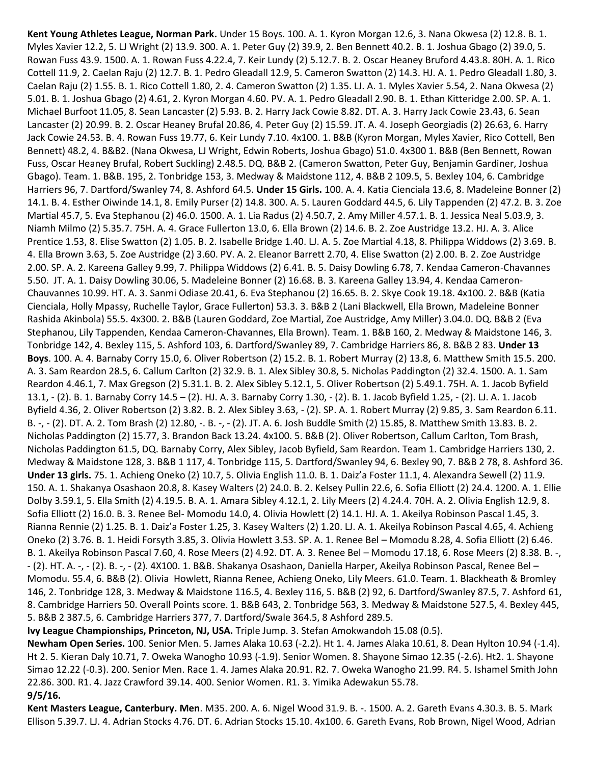**Kent Young Athletes League, Norman Park.** Under 15 Boys. 100. A. 1. Kyron Morgan 12.6, 3. Nana Okwesa (2) 12.8. B. 1. Myles Xavier 12.2, 5. LJ Wright (2) 13.9. 300. A. 1. Peter Guy (2) 39.9, 2. Ben Bennett 40.2. B. 1. Joshua Gbago (2) 39.0, 5. Rowan Fuss 43.9. 1500. A. 1. Rowan Fuss 4.22.4, 7. Keir Lundy (2) 5.12.7. B. 2. Oscar Heaney Bruford 4.43.8. 80H. A. 1. Rico Cottell 11.9, 2. Caelan Raju (2) 12.7. B. 1. Pedro Gleadall 12.9, 5. Cameron Swatton (2) 14.3. HJ. A. 1. Pedro Gleadall 1.80, 3. Caelan Raju (2) 1.55. B. 1. Rico Cottell 1.80, 2. 4. Cameron Swatton (2) 1.35. LJ. A. 1. Myles Xavier 5.54, 2. Nana Okwesa (2) 5.01. B. 1. Joshua Gbago (2) 4.61, 2. Kyron Morgan 4.60. PV. A. 1. Pedro Gleadall 2.90. B. 1. Ethan Kitteridge 2.00. SP. A. 1. Michael Burfoot 11.05, 8. Sean Lancaster (2) 5.93. B. 2. Harry Jack Cowie 8.82. DT. A. 3. Harry Jack Cowie 23.43, 6. Sean Lancaster (2) 20.99. B. 2. Oscar Heaney Brufal 20.86, 4. Peter Guy (2) 15.59. JT. A. 4. Joseph Georgiadis (2) 26.63, 6. Harry Jack Cowie 24.53. B. 4. Rowan Fuss 19.77, 6. Keir Lundy 7.10. 4x100. 1. B&B (Kyron Morgan, Myles Xavier, Rico Cottell, Ben Bennett) 48.2, 4. B&B2. (Nana Okwesa, LJ Wright, Edwin Roberts, Joshua Gbago) 51.0. 4x300 1. B&B (Ben Bennett, Rowan Fuss, Oscar Heaney Brufal, Robert Suckling) 2.48.5. DQ. B&B 2. (Cameron Swatton, Peter Guy, Benjamin Gardiner, Joshua Gbago). Team. 1. B&B. 195, 2. Tonbridge 153, 3. Medway & Maidstone 112, 4. B&B 2 109.5, 5. Bexley 104, 6. Cambridge Harriers 96, 7. Dartford/Swanley 74, 8. Ashford 64.5. **Under 15 Girls.** 100. A. 4. Katia Cienciala 13.6, 8. Madeleine Bonner (2) 14.1. B. 4. Esther Oiwinde 14.1, 8. Emily Purser (2) 14.8. 300. A. 5. Lauren Goddard 44.5, 6. Lily Tappenden (2) 47.2. B. 3. Zoe Martial 45.7, 5. Eva Stephanou (2) 46.0. 1500. A. 1. Lia Radus (2) 4.50.7, 2. Amy Miller 4.57.1. B. 1. Jessica Neal 5.03.9, 3. Niamh Milmo (2) 5.35.7. 75H. A. 4. Grace Fullerton 13.0, 6. Ella Brown (2) 14.6. B. 2. Zoe Austridge 13.2. HJ. A. 3. Alice Prentice 1.53, 8. Elise Swatton (2) 1.05. B. 2. Isabelle Bridge 1.40. LJ. A. 5. Zoe Martial 4.18, 8. Philippa Widdows (2) 3.69. B. 4. Ella Brown 3.63, 5. Zoe Austridge (2) 3.60. PV. A. 2. Eleanor Barrett 2.70, 4. Elise Swatton (2) 2.00. B. 2. Zoe Austridge 2.00. SP. A. 2. Kareena Galley 9.99, 7. Philippa Widdows (2) 6.41. B. 5. Daisy Dowling 6.78, 7. Kendaa Cameron-Chavannes 5.50. JT. A. 1. Daisy Dowling 30.06, 5. Madeleine Bonner (2) 16.68. B. 3. Kareena Galley 13.94, 4. Kendaa Cameron-Chauvannes 10.99. HT. A. 3. Sanmi Odiase 20.41, 6. Eva Stephanou (2) 16.65. B. 2. Skye Cook 19.18. 4x100. 2. B&B (Katia Cienciala, Holly Mpassy, Ruchelle Taylor, Grace Fullerton) 53.3. 3. B&B 2 (Lani Blackwell, Ella Brown, Madeleine Bonner Rashida Akinbola) 55.5. 4x300. 2. B&B (Lauren Goddard, Zoe Martial, Zoe Austridge, Amy Miller) 3.04.0. DQ. B&B 2 (Eva Stephanou, Lily Tappenden, Kendaa Cameron-Chavannes, Ella Brown). Team. 1. B&B 160, 2. Medway & Maidstone 146, 3. Tonbridge 142, 4. Bexley 115, 5. Ashford 103, 6. Dartford/Swanley 89, 7. Cambridge Harriers 86, 8. B&B 2 83. **Under 13 Boys**. 100. A. 4. Barnaby Corry 15.0, 6. Oliver Robertson (2) 15.2. B. 1. Robert Murray (2) 13.8, 6. Matthew Smith 15.5. 200. A. 3. Sam Reardon 28.5, 6. Callum Carlton (2) 32.9. B. 1. Alex Sibley 30.8, 5. Nicholas Paddington (2) 32.4. 1500. A. 1. Sam Reardon 4.46.1, 7. Max Gregson (2) 5.31.1. B. 2. Alex Sibley 5.12.1, 5. Oliver Robertson (2) 5.49.1. 75H. A. 1. Jacob Byfield 13.1, - (2). B. 1. Barnaby Corry 14.5 – (2). HJ. A. 3. Barnaby Corry 1.30, - (2). B. 1. Jacob Byfield 1.25, - (2). LJ. A. 1. Jacob Byfield 4.36, 2. Oliver Robertson (2) 3.82. B. 2. Alex Sibley 3.63, - (2). SP. A. 1. Robert Murray (2) 9.85, 3. Sam Reardon 6.11. B. -, - (2). DT. A. 2. Tom Brash (2) 12.80, -. B. -, - (2). JT. A. 6. Josh Buddle Smith (2) 15.85, 8. Matthew Smith 13.83. B. 2. Nicholas Paddington (2) 15.77, 3. Brandon Back 13.24. 4x100. 5. B&B (2). Oliver Robertson, Callum Carlton, Tom Brash, Nicholas Paddington 61.5, DQ. Barnaby Corry, Alex Sibley, Jacob Byfield, Sam Reardon. Team 1. Cambridge Harriers 130, 2. Medway & Maidstone 128, 3. B&B 1 117, 4. Tonbridge 115, 5. Dartford/Swanley 94, 6. Bexley 90, 7. B&B 2 78, 8. Ashford 36. **Under 13 girls.** 75. 1. Achieng Oneko (2) 10.7, 5. Olivia English 11.0. B. 1. Daiz'a Foster 11.1, 4. Alexandra Sewell (2) 11.9. 150. A. 1. Shakanya Osashaon 20.8, 8. Kasey Walters (2) 24.0. B. 2. Kelsey Pullin 22.6, 6. Sofia Elliott (2) 24.4. 1200. A. 1. Ellie Dolby 3.59.1, 5. Ella Smith (2) 4.19.5. B. A. 1. Amara Sibley 4.12.1, 2. Lily Meers (2) 4.24.4. 70H. A. 2. Olivia English 12.9, 8. Sofia Elliott (2) 16.0. B. 3. Renee Bel- Momodu 14.0, 4. Olivia Howlett (2) 14.1. HJ. A. 1. Akeilya Robinson Pascal 1.45, 3. Rianna Rennie (2) 1.25. B. 1. Daiz'a Foster 1.25, 3. Kasey Walters (2) 1.20. LJ. A. 1. Akeilya Robinson Pascal 4.65, 4. Achieng Oneko (2) 3.76. B. 1. Heidi Forsyth 3.85, 3. Olivia Howlett 3.53. SP. A. 1. Renee Bel – Momodu 8.28, 4. Sofia Elliott (2) 6.46. B. 1. Akeilya Robinson Pascal 7.60, 4. Rose Meers (2) 4.92. DT. A. 3. Renee Bel – Momodu 17.18, 6. Rose Meers (2) 8.38. B. -, - (2). HT. A. -, - (2). B. -, - (2). 4X100. 1. B&B. Shakanya Osashaon, Daniella Harper, Akeilya Robinson Pascal, Renee Bel – Momodu. 55.4, 6. B&B (2). Olivia Howlett, Rianna Renee, Achieng Oneko, Lily Meers. 61.0. Team. 1. Blackheath & Bromley 146, 2. Tonbridge 128, 3. Medway & Maidstone 116.5, 4. Bexley 116, 5. B&B (2) 92, 6. Dartford/Swanley 87.5, 7. Ashford 61, 8. Cambridge Harriers 50. Overall Points score. 1. B&B 643, 2. Tonbridge 563, 3. Medway & Maidstone 527.5, 4. Bexley 445, 5. B&B 2 387.5, 6. Cambridge Harriers 377, 7. Dartford/Swale 364.5, 8 Ashford 289.5.

**Ivy League Championships, Princeton, NJ, USA.** Triple Jump. 3. Stefan Amokwandoh 15.08 (0.5).

**Newham Open Series.** 100. Senior Men. 5. James Alaka 10.63 (-2.2). Ht 1. 4. James Alaka 10.61, 8. Dean Hylton 10.94 (-1.4). Ht 2. 5. Kieran Daly 10.71, 7. Oweka Wanogho 10.93 (-1.9). Senior Women. 8. Shayone Simao 12.35 (-2.6). Ht2. 1. Shayone Simao 12.22 (-0.3). 200. Senior Men. Race 1. 4. James Alaka 20.91. R2. 7. Oweka Wanogho 21.99. R4. 5. Ishamel Smith John 22.86. 300. R1. 4. Jazz Crawford 39.14. 400. Senior Women. R1. 3. Yimika Adewakun 55.78. **9/5/16.**

**Kent Masters League, Canterbury. Men**. M35. 200. A. 6. Nigel Wood 31.9. B. -. 1500. A. 2. Gareth Evans 4.30.3. B. 5. Mark Ellison 5.39.7. LJ. 4. Adrian Stocks 4.76. DT. 6. Adrian Stocks 15.10. 4x100. 6. Gareth Evans, Rob Brown, Nigel Wood, Adrian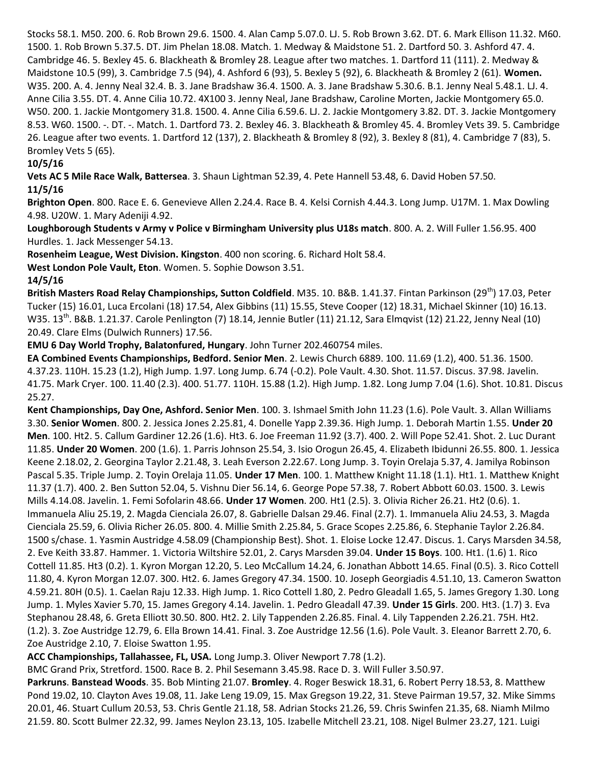Stocks 58.1. M50. 200. 6. Rob Brown 29.6. 1500. 4. Alan Camp 5.07.0. LJ. 5. Rob Brown 3.62. DT. 6. Mark Ellison 11.32. M60. 1500. 1. Rob Brown 5.37.5. DT. Jim Phelan 18.08. Match. 1. Medway & Maidstone 51. 2. Dartford 50. 3. Ashford 47. 4. Cambridge 46. 5. Bexley 45. 6. Blackheath & Bromley 28. League after two matches. 1. Dartford 11 (111). 2. Medway & Maidstone 10.5 (99), 3. Cambridge 7.5 (94), 4. Ashford 6 (93), 5. Bexley 5 (92), 6. Blackheath & Bromley 2 (61). **Women.** W35. 200. A. 4. Jenny Neal 32.4. B. 3. Jane Bradshaw 36.4. 1500. A. 3. Jane Bradshaw 5.30.6. B.1. Jenny Neal 5.48.1. LJ. 4. Anne Cilia 3.55. DT. 4. Anne Cilia 10.72. 4X100 3. Jenny Neal, Jane Bradshaw, Caroline Morten, Jackie Montgomery 65.0. W50. 200. 1. Jackie Montgomery 31.8. 1500. 4. Anne Cilia 6.59.6. LJ. 2. Jackie Montgomery 3.82. DT. 3. Jackie Montgomery 8.53. W60. 1500. -. DT. -. Match. 1. Dartford 73. 2. Bexley 46. 3. Blackheath & Bromley 45. 4. Bromley Vets 39. 5. Cambridge 26. League after two events. 1. Dartford 12 (137), 2. Blackheath & Bromley 8 (92), 3. Bexley 8 (81), 4. Cambridge 7 (83), 5. Bromley Vets 5 (65).

### **10/5/16**

**Vets AC 5 Mile Race Walk, Battersea**. 3. Shaun Lightman 52.39, 4. Pete Hannell 53.48, 6. David Hoben 57.50. **11/5/16**

**Brighton Open**. 800. Race E. 6. Genevieve Allen 2.24.4. Race B. 4. Kelsi Cornish 4.44.3. Long Jump. U17M. 1. Max Dowling 4.98. U20W. 1. Mary Adeniji 4.92.

**Loughborough Students v Army v Police v Birmingham University plus U18s match**. 800. A. 2. Will Fuller 1.56.95. 400 Hurdles. 1. Jack Messenger 54.13.

**Rosenheim League, West Division. Kingston**. 400 non scoring. 6. Richard Holt 58.4.

**West London Pole Vault, Eton**. Women. 5. Sophie Dowson 3.51.

### **14/5/16**

**British Masters Road Relay Championships, Sutton Coldfield**. M35. 10. B&B. 1.41.37. Fintan Parkinson (29<sup>th</sup>) 17.03, Peter Tucker (15) 16.01, Luca Ercolani (18) 17.54, Alex Gibbins (11) 15.55, Steve Cooper (12) 18.31, Michael Skinner (10) 16.13. W35. 13th. B&B. 1.21.37. Carole Penlington (7) 18.14, Jennie Butler (11) 21.12, Sara Elmqvist (12) 21.22, Jenny Neal (10) 20.49. Clare Elms (Dulwich Runners) 17.56.

**EMU 6 Day World Trophy, Balatonfured, Hungary**. John Turner 202.460754 miles.

**EA Combined Events Championships, Bedford. Senior Men**. 2. Lewis Church 6889. 100. 11.69 (1.2), 400. 51.36. 1500. 4.37.23. 110H. 15.23 (1.2), High Jump. 1.97. Long Jump. 6.74 (-0.2). Pole Vault. 4.30. Shot. 11.57. Discus. 37.98. Javelin. 41.75. Mark Cryer. 100. 11.40 (2.3). 400. 51.77. 110H. 15.88 (1.2). High Jump. 1.82. Long Jump 7.04 (1.6). Shot. 10.81. Discus 25.27.

**Kent Championships, Day One, Ashford. Senior Men**. 100. 3. Ishmael Smith John 11.23 (1.6). Pole Vault. 3. Allan Williams 3.30. **Senior Women**. 800. 2. Jessica Jones 2.25.81, 4. Donelle Yapp 2.39.36. High Jump. 1. Deborah Martin 1.55. **Under 20 Men**. 100. Ht2. 5. Callum Gardiner 12.26 (1.6). Ht3. 6. Joe Freeman 11.92 (3.7). 400. 2. Will Pope 52.41. Shot. 2. Luc Durant 11.85. **Under 20 Women**. 200 (1.6). 1. Parris Johnson 25.54, 3. Isio Orogun 26.45, 4. Elizabeth Ibidunni 26.55. 800. 1. Jessica Keene 2.18.02, 2. Georgina Taylor 2.21.48, 3. Leah Everson 2.22.67. Long Jump. 3. Toyin Orelaja 5.37, 4. Jamilya Robinson Pascal 5.35. Triple Jump. 2. Toyin Orelaja 11.05. **Under 17 Men**. 100. 1. Matthew Knight 11.18 (1.1). Ht1. 1. Matthew Knight 11.37 (1.7). 400. 2. Ben Sutton 52.04, 5. Vishnu Dier 56.14, 6. George Pope 57.38, 7. Robert Abbott 60.03. 1500. 3. Lewis Mills 4.14.08. Javelin. 1. Femi Sofolarin 48.66. **Under 17 Women**. 200. Ht1 (2.5). 3. Olivia Richer 26.21. Ht2 (0.6). 1. Immanuela Aliu 25.19, 2. Magda Cienciala 26.07, 8. Gabrielle Dalsan 29.46. Final (2.7). 1. Immanuela Aliu 24.53, 3. Magda Cienciala 25.59, 6. Olivia Richer 26.05. 800. 4. Millie Smith 2.25.84, 5. Grace Scopes 2.25.86, 6. Stephanie Taylor 2.26.84. 1500 s/chase. 1. Yasmin Austridge 4.58.09 (Championship Best). Shot. 1. Eloise Locke 12.47. Discus. 1. Carys Marsden 34.58, 2. Eve Keith 33.87. Hammer. 1. Victoria Wiltshire 52.01, 2. Carys Marsden 39.04. **Under 15 Boys**. 100. Ht1. (1.6) 1. Rico Cottell 11.85. Ht3 (0.2). 1. Kyron Morgan 12.20, 5. Leo McCallum 14.24, 6. Jonathan Abbott 14.65. Final (0.5). 3. Rico Cottell 11.80, 4. Kyron Morgan 12.07. 300. Ht2. 6. James Gregory 47.34. 1500. 10. Joseph Georgiadis 4.51.10, 13. Cameron Swatton 4.59.21. 80H (0.5). 1. Caelan Raju 12.33. High Jump. 1. Rico Cottell 1.80, 2. Pedro Gleadall 1.65, 5. James Gregory 1.30. Long Jump. 1. Myles Xavier 5.70, 15. James Gregory 4.14. Javelin. 1. Pedro Gleadall 47.39. **Under 15 Girls**. 200. Ht3. (1.7) 3. Eva Stephanou 28.48, 6. Greta Elliott 30.50. 800. Ht2. 2. Lily Tappenden 2.26.85. Final. 4. Lily Tappenden 2.26.21. 75H. Ht2. (1.2). 3. Zoe Austridge 12.79, 6. Ella Brown 14.41. Final. 3. Zoe Austridge 12.56 (1.6). Pole Vault. 3. Eleanor Barrett 2.70, 6. Zoe Austridge 2.10, 7. Eloise Swatton 1.95.

**ACC Championships, Tallahassee, FL, USA.** Long Jump.3. Oliver Newport 7.78 (1.2).

BMC Grand Prix, Stretford. 1500. Race B. 2. Phil Sesemann 3.45.98. Race D. 3. Will Fuller 3.50.97.

**Parkruns**. **Banstead Woods**. 35. Bob Minting 21.07. **Bromley**. 4. Roger Beswick 18.31, 6. Robert Perry 18.53, 8. Matthew Pond 19.02, 10. Clayton Aves 19.08, 11. Jake Leng 19.09, 15. Max Gregson 19.22, 31. Steve Pairman 19.57, 32. Mike Simms 20.01, 46. Stuart Cullum 20.53, 53. Chris Gentle 21.18, 58. Adrian Stocks 21.26, 59. Chris Swinfen 21.35, 68. Niamh Milmo 21.59. 80. Scott Bulmer 22.32, 99. James Neylon 23.13, 105. Izabelle Mitchell 23.21, 108. Nigel Bulmer 23.27, 121. Luigi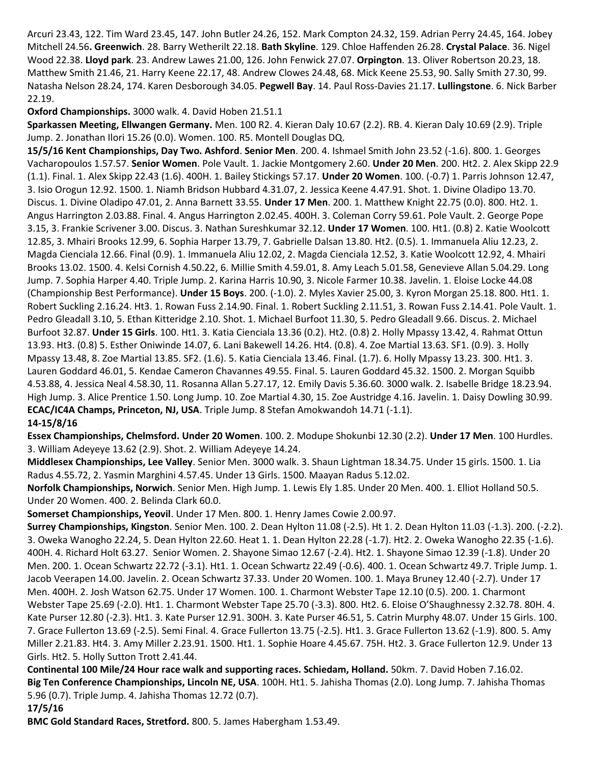Arcuri 23.43, 122. Tim Ward 23.45, 147. John Butler 24.26, 152. Mark Compton 24.32, 159. Adrian Perry 24.45, 164. Jobey Mitchell 24.56**. Greenwich**. 28. Barry Wetherilt 22.18. **Bath Skyline**. 129. Chloe Haffenden 26.28. **Crystal Palace**. 36. Nigel Wood 22.38. **Lloyd park**. 23. Andrew Lawes 21.00, 126. John Fenwick 27.07. **Orpington**. 13. Oliver Robertson 20.23, 18. Matthew Smith 21.46, 21. Harry Keene 22.17, 48. Andrew Clowes 24.48, 68. Mick Keene 25.53, 90. Sally Smith 27.30, 99. Natasha Nelson 28.24, 174. Karen Desborough 34.05. **Pegwell Bay**. 14. Paul Ross-Davies 21.17. **Lullingstone**. 6. Nick Barber 22.19.

**Oxford Championships.** 3000 walk. 4. David Hoben 21.51.1

**Sparkassen Meeting, Ellwangen Germany.** Men. 100 R2. 4. Kieran Daly 10.67 (2.2). RB. 4. Kieran Daly 10.69 (2.9). Triple Jump. 2. Jonathan Ilori 15.26 (0.0). Women. 100. R5. Montell Douglas DQ.

**15/5/16 Kent Championships, Day Two. Ashford**. **Senior Men**. 200. 4. Ishmael Smith John 23.52 (-1.6). 800. 1. Georges Vacharopoulos 1.57.57. **Senior Women**. Pole Vault. 1. Jackie Montgomery 2.60. **Under 20 Men**. 200. Ht2. 2. Alex Skipp 22.9 (1.1). Final. 1. Alex Skipp 22.43 (1.6). 400H. 1. Bailey Stickings 57.17. **Under 20 Women**. 100. (-0.7) 1. Parris Johnson 12.47, 3. Isio Orogun 12.92. 1500. 1. Niamh Bridson Hubbard 4.31.07, 2. Jessica Keene 4.47.91. Shot. 1. Divine Oladipo 13.70. Discus. 1. Divine Oladipo 47.01, 2. Anna Barnett 33.55. **Under 17 Men**. 200. 1. Matthew Knight 22.75 (0.0). 800. Ht2. 1. Angus Harrington 2.03.88. Final. 4. Angus Harrington 2.02.45. 400H. 3. Coleman Corry 59.61. Pole Vault. 2. George Pope 3.15, 3. Frankie Scrivener 3.00. Discus. 3. Nathan Sureshkumar 32.12. **Under 17 Women**. 100. Ht1. (0.8) 2. Katie Woolcott 12.85, 3. Mhairi Brooks 12.99, 6. Sophia Harper 13.79, 7. Gabrielle Dalsan 13.80. Ht2. (0.5). 1. Immanuela Aliu 12.23, 2. Magda Cienciala 12.66. Final (0.9). 1. Immanuela Aliu 12.02, 2. Magda Cienciala 12.52, 3. Katie Woolcott 12.92, 4. Mhairi Brooks 13.02. 1500. 4. Kelsi Cornish 4.50.22, 6. Millie Smith 4.59.01, 8. Amy Leach 5.01.58, Genevieve Allan 5.04.29. Long Jump. 7. Sophia Harper 4.40. Triple Jump. 2. Karina Harris 10.90, 3. Nicole Farmer 10.38. Javelin. 1. Eloise Locke 44.08 (Championship Best Performance). **Under 15 Boys**. 200. (-1.0). 2. Myles Xavier 25.00, 3. Kyron Morgan 25.18. 800. Ht1. 1. Robert Suckling 2.16.24. Ht3. 1. Rowan Fuss 2.14.90. Final. 1. Robert Suckling 2.11.51, 3. Rowan Fuss 2.14.41. Pole Vault. 1. Pedro Gleadall 3.10, 5. Ethan Kitteridge 2.10. Shot. 1. Michael Burfoot 11.30, 5. Pedro Gleadall 9.66. Discus. 2. Michael Burfoot 32.87. **Under 15 Girls**. 100. Ht1. 3. Katia Cienciala 13.36 (0.2). Ht2. (0.8) 2. Holly Mpassy 13.42, 4. Rahmat Ottun 13.93. Ht3. (0.8) 5. Esther Oniwinde 14.07, 6. Lani Bakewell 14.26. Ht4. (0.8). 4. Zoe Martial 13.63. SF1. (0.9). 3. Holly Mpassy 13.48, 8. Zoe Martial 13.85. SF2. (1.6). 5. Katia Cienciala 13.46. Final. (1.7). 6. Holly Mpassy 13.23. 300. Ht1. 3. Lauren Goddard 46.01, 5. Kendae Cameron Chavannes 49.55. Final. 5. Lauren Goddard 45.32. 1500. 2. Morgan Squibb 4.53.88, 4. Jessica Neal 4.58.30, 11. Rosanna Allan 5.27.17, 12. Emily Davis 5.36.60. 3000 walk. 2. Isabelle Bridge 18.23.94. High Jump. 3. Alice Prentice 1.50. Long Jump. 10. Zoe Martial 4.30, 15. Zoe Austridge 4.16. Javelin. 1. Daisy Dowling 30.99. **ECAC/IC4A Champs, Princeton, NJ, USA**. Triple Jump. 8 Stefan Amokwandoh 14.71 (-1.1).

### **14-15/8/16**

**Essex Championships, Chelmsford. Under 20 Women**. 100. 2. Modupe Shokunbi 12.30 (2.2). **Under 17 Men**. 100 Hurdles. 3. William Adeyeye 13.62 (2.9). Shot. 2. William Adeyeye 14.24.

**Middlesex Championships, Lee Valley**. Senior Men. 3000 walk. 3. Shaun Lightman 18.34.75. Under 15 girls. 1500. 1. Lia Radus 4.55.72, 2. Yasmin Marghini 4.57.45. Under 13 Girls. 1500. Maayan Radus 5.12.02.

**Norfolk Championships, Norwich**. Senior Men. High Jump. 1. Lewis Ely 1.85. Under 20 Men. 400. 1. Elliot Holland 50.5. Under 20 Women. 400. 2. Belinda Clark 60.0.

**Somerset Championships, Yeovil**. Under 17 Men. 800. 1. Henry James Cowie 2.00.97.

**Surrey Championships, Kingston**. Senior Men. 100. 2. Dean Hylton 11.08 (-2.5). Ht 1. 2. Dean Hylton 11.03 (-1.3). 200. (-2.2). 3. Oweka Wanogho 22.24, 5. Dean Hylton 22.60. Heat 1. 1. Dean Hylton 22.28 (-1.7). Ht2. 2. Oweka Wanogho 22.35 (-1.6). 400H. 4. Richard Holt 63.27. Senior Women. 2. Shayone Simao 12.67 (-2.4). Ht2. 1. Shayone Simao 12.39 (-1.8). Under 20 Men. 200. 1. Ocean Schwartz 22.72 (-3.1). Ht1. 1. Ocean Schwartz 22.49 (-0.6). 400. 1. Ocean Schwartz 49.7. Triple Jump. 1. Jacob Veerapen 14.00. Javelin. 2. Ocean Schwartz 37.33. Under 20 Women. 100. 1. Maya Bruney 12.40 (-2.7). Under 17 Men. 400H. 2. Josh Watson 62.75. Under 17 Women. 100. 1. Charmont Webster Tape 12.10 (0.5). 200. 1. Charmont Webster Tape 25.69 (-2.0). Ht1. 1. Charmont Webster Tape 25.70 (-3.3). 800. Ht2. 6. Eloise O'Shaughnessy 2.32.78. 80H. 4. Kate Purser 12.80 (-2.3). Ht1. 3. Kate Purser 12.91. 300H. 3. Kate Purser 46.51, 5. Catrin Murphy 48.07. Under 15 Girls. 100. 7. Grace Fullerton 13.69 (-2.5). Semi Final. 4. Grace Fullerton 13.75 (-2.5). Ht1. 3. Grace Fullerton 13.62 (-1.9). 800. 5. Amy Miller 2.21.83. Ht4. 3. Amy Miller 2.23.91. 1500. Ht1. 1. Sophie Hoare 4.45.67. 75H. Ht2. 3. Grace Fullerton 12.9. Under 13 Girls. Ht2. 5. Holly Sutton Trott 2.41.44.

**Continental 100 Mile/24 Hour race walk and supporting races. Schiedam, Holland.** 50km. 7. David Hoben 7.16.02. **Big Ten Conference Championships, Lincoln NE, USA**. 100H. Ht1. 5. Jahisha Thomas (2.0). Long Jump. 7. Jahisha Thomas 5.96 (0.7). Triple Jump. 4. Jahisha Thomas 12.72 (0.7).

**17/5/16**

**BMC Gold Standard Races, Stretford.** 800. 5. James Habergham 1.53.49.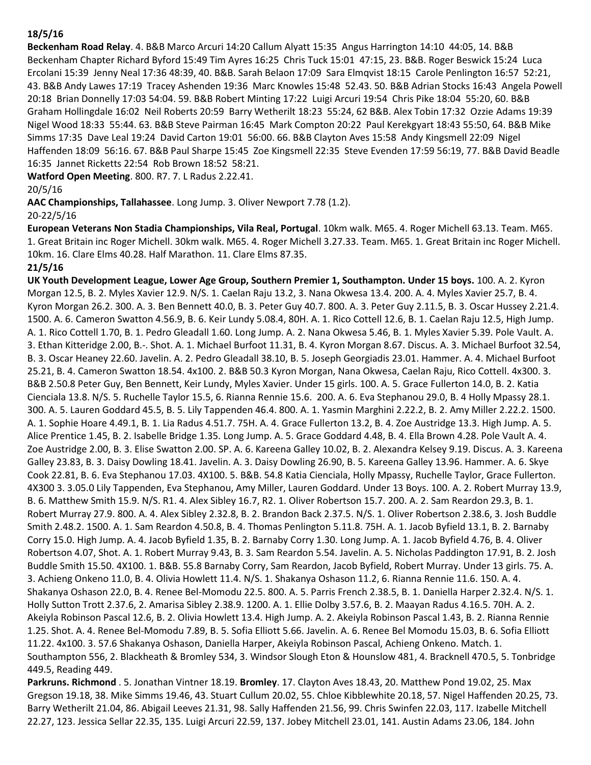### **18/5/16**

**Beckenham Road Relay**. 4. B&B Marco Arcuri 14:20 Callum Alyatt 15:35 Angus Harrington 14:10 44:05, 14. B&B Beckenham Chapter Richard Byford 15:49 Tim Ayres 16:25 Chris Tuck 15:01 47:15, 23. B&B. Roger Beswick 15:24 Luca Ercolani 15:39 Jenny Neal 17:36 48:39, 40. B&B. Sarah Belaon 17:09 Sara Elmqvist 18:15 Carole Penlington 16:57 52:21, 43. B&B Andy Lawes 17:19 Tracey Ashenden 19:36 Marc Knowles 15:48 52.43. 50. B&B Adrian Stocks 16:43 Angela Powell 20:18 Brian Donnelly 17:03 54:04. 59. B&B Robert Minting 17:22 Luigi Arcuri 19:54 Chris Pike 18:04 55:20, 60. B&B Graham Hollingdale 16:02 Neil Roberts 20:59 Barry Wetherilt 18:23 55:24, 62 B&B. Alex Tobin 17:32 Ozzie Adams 19:39 Nigel Wood 18:33 55:44. 63. B&B Steve Pairman 16:45 Mark Compton 20:22 Paul Kerekgyart 18:43 55:50, 64. B&B Mike Simms 17:35 Dave Leal 19:24 David Carton 19:01 56:00. 66. B&B Clayton Aves 15:58 Andy Kingsmell 22:09 Nigel Haffenden 18:09 56:16. 67. B&B Paul Sharpe 15:45 Zoe Kingsmell 22:35 Steve Evenden 17:59 56:19, 77. B&B David Beadle 16:35 Jannet Ricketts 22:54 Rob Brown 18:52 58:21.

**Watford Open Meeting**. 800. R7. 7. L Radus 2.22.41.

## 20/5/16

**AAC Championships, Tallahassee**. Long Jump. 3. Oliver Newport 7.78 (1.2). 20-22/5/16

**European Veterans Non Stadia Championships, Vila Real, Portugal**. 10km walk. M65. 4. Roger Michell 63.13. Team. M65. 1. Great Britain inc Roger Michell. 30km walk. M65. 4. Roger Michell 3.27.33. Team. M65. 1. Great Britain inc Roger Michell. 10km. 16. Clare Elms 40.28. Half Marathon. 11. Clare Elms 87.35.

# **21/5/16**

**UK Youth Development League, Lower Age Group, Southern Premier 1, Southampton. Under 15 boys.** 100. A. 2. Kyron Morgan 12.5, B. 2. Myles Xavier 12.9. N/S. 1. Caelan Raju 13.2, 3. Nana Okwesa 13.4. 200. A. 4. Myles Xavier 25.7, B. 4. Kyron Morgan 26.2. 300. A. 3. Ben Bennett 40.0, B. 3. Peter Guy 40.7. 800. A. 3. Peter Guy 2.11.5, B. 3. Oscar Hussey 2.21.4. 1500. A. 6. Cameron Swatton 4.56.9, B. 6. Keir Lundy 5.08.4, 80H. A. 1. Rico Cottell 12.6, B. 1. Caelan Raju 12.5, High Jump. A. 1. Rico Cottell 1.70, B. 1. Pedro Gleadall 1.60. Long Jump. A. 2. Nana Okwesa 5.46, B. 1. Myles Xavier 5.39. Pole Vault. A. 3. Ethan Kitteridge 2.00, B.-. Shot. A. 1. Michael Burfoot 11.31, B. 4. Kyron Morgan 8.67. Discus. A. 3. Michael Burfoot 32.54, B. 3. Oscar Heaney 22.60. Javelin. A. 2. Pedro Gleadall 38.10, B. 5. Joseph Georgiadis 23.01. Hammer. A. 4. Michael Burfoot 25.21, B. 4. Cameron Swatton 18.54. 4x100. 2. B&B 50.3 Kyron Morgan, Nana Okwesa, Caelan Raju, Rico Cottell. 4x300. 3. B&B 2.50.8 Peter Guy, Ben Bennett, Keir Lundy, Myles Xavier. Under 15 girls. 100. A. 5. Grace Fullerton 14.0, B. 2. Katia Cienciala 13.8. N/S. 5. Ruchelle Taylor 15.5, 6. Rianna Rennie 15.6. 200. A. 6. Eva Stephanou 29.0, B. 4 Holly Mpassy 28.1. 300. A. 5. Lauren Goddard 45.5, B. 5. Lily Tappenden 46.4. 800. A. 1. Yasmin Marghini 2.22.2, B. 2. Amy Miller 2.22.2. 1500. A. 1. Sophie Hoare 4.49.1, B. 1. Lia Radus 4.51.7. 75H. A. 4. Grace Fullerton 13.2, B. 4. Zoe Austridge 13.3. High Jump. A. 5. Alice Prentice 1.45, B. 2. Isabelle Bridge 1.35. Long Jump. A. 5. Grace Goddard 4.48, B. 4. Ella Brown 4.28. Pole Vault A. 4. Zoe Austridge 2.00, B. 3. Elise Swatton 2.00. SP. A. 6. Kareena Galley 10.02, B. 2. Alexandra Kelsey 9.19. Discus. A. 3. Kareena Galley 23.83, B. 3. Daisy Dowling 18.41. Javelin. A. 3. Daisy Dowling 26.90, B. 5. Kareena Galley 13.96. Hammer. A. 6. Skye Cook 22.81, B. 6. Eva Stephanou 17.03. 4X100. 5. B&B. 54.8 Katia Cienciala, Holly Mpassy, Ruchelle Taylor, Grace Fullerton. 4X300 3. 3.05.0 Lily Tappenden, Eva Stephanou, Amy Miller, Lauren Goddard. Under 13 Boys. 100. A. 2. Robert Murray 13.9, B. 6. Matthew Smith 15.9. N/S. R1. 4. Alex Sibley 16.7, R2. 1. Oliver Robertson 15.7. 200. A. 2. Sam Reardon 29.3, B. 1. Robert Murray 27.9. 800. A. 4. Alex Sibley 2.32.8, B. 2. Brandon Back 2.37.5. N/S. 1. Oliver Robertson 2.38.6, 3. Josh Buddle Smith 2.48.2. 1500. A. 1. Sam Reardon 4.50.8, B. 4. Thomas Penlington 5.11.8. 75H. A. 1. Jacob Byfield 13.1, B. 2. Barnaby Corry 15.0. High Jump. A. 4. Jacob Byfield 1.35, B. 2. Barnaby Corry 1.30. Long Jump. A. 1. Jacob Byfield 4.76, B. 4. Oliver Robertson 4.07, Shot. A. 1. Robert Murray 9.43, B. 3. Sam Reardon 5.54. Javelin. A. 5. Nicholas Paddington 17.91, B. 2. Josh Buddle Smith 15.50. 4X100. 1. B&B. 55.8 Barnaby Corry, Sam Reardon, Jacob Byfield, Robert Murray. Under 13 girls. 75. A. 3. Achieng Onkeno 11.0, B. 4. Olivia Howlett 11.4. N/S. 1. Shakanya Oshason 11.2, 6. Rianna Rennie 11.6. 150. A. 4. Shakanya Oshason 22.0, B. 4. Renee Bel-Momodu 22.5. 800. A. 5. Parris French 2.38.5, B. 1. Daniella Harper 2.32.4. N/S. 1. Holly Sutton Trott 2.37.6, 2. Amarisa Sibley 2.38.9. 1200. A. 1. Ellie Dolby 3.57.6, B. 2. Maayan Radus 4.16.5. 70H. A. 2. Akeiyla Robinson Pascal 12.6, B. 2. Olivia Howlett 13.4. High Jump. A. 2. Akeiyla Robinson Pascal 1.43, B. 2. Rianna Rennie 1.25. Shot. A. 4. Renee Bel-Momodu 7.89, B. 5. Sofia Elliott 5.66. Javelin. A. 6. Renee Bel Momodu 15.03, B. 6. Sofia Elliott 11.22. 4x100. 3. 57.6 Shakanya Oshason, Daniella Harper, Akeiyla Robinson Pascal, Achieng Onkeno. Match. 1. Southampton 556, 2. Blackheath & Bromley 534, 3. Windsor Slough Eton & Hounslow 481, 4. Bracknell 470.5, 5. Tonbridge 449.5, Reading 449.

**Parkruns. Richmond** . 5. Jonathan Vintner 18.19. **Bromley**. 17. Clayton Aves 18.43, 20. Matthew Pond 19.02, 25. Max Gregson 19.18, 38. Mike Simms 19.46, 43. Stuart Cullum 20.02, 55. Chloe Kibblewhite 20.18, 57. Nigel Haffenden 20.25, 73. Barry Wetherilt 21.04, 86. Abigail Leeves 21.31, 98. Sally Haffenden 21.56, 99. Chris Swinfen 22.03, 117. Izabelle Mitchell 22.27, 123. Jessica Sellar 22.35, 135. Luigi Arcuri 22.59, 137. Jobey Mitchell 23.01, 141. Austin Adams 23.06, 184. John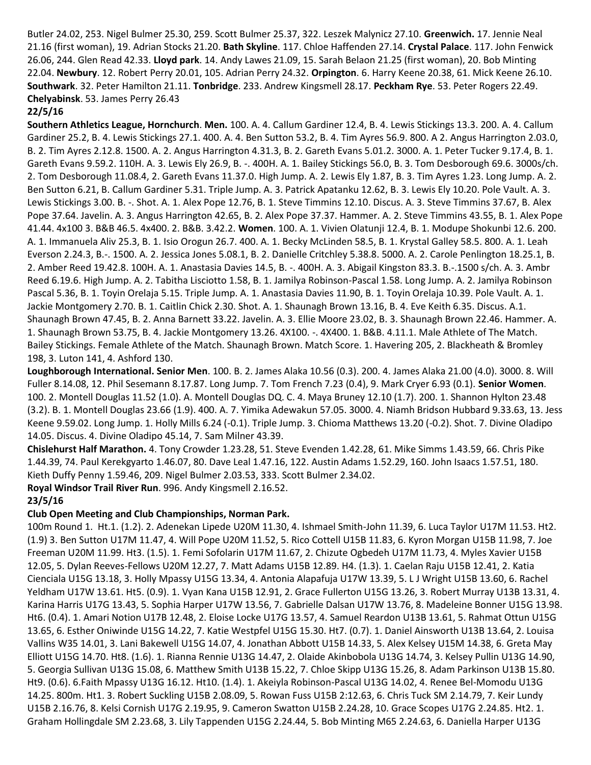Butler 24.02, 253. Nigel Bulmer 25.30, 259. Scott Bulmer 25.37, 322. Leszek Malynicz 27.10. **Greenwich.** 17. Jennie Neal 21.16 (first woman), 19. Adrian Stocks 21.20. **Bath Skyline**. 117. Chloe Haffenden 27.14. **Crystal Palace**. 117. John Fenwick 26.06, 244. Glen Read 42.33. **Lloyd park**. 14. Andy Lawes 21.09, 15. Sarah Belaon 21.25 (first woman), 20. Bob Minting 22.04. **Newbury**. 12. Robert Perry 20.01, 105. Adrian Perry 24.32. **Orpington**. 6. Harry Keene 20.38, 61. Mick Keene 26.10. **Southwark**. 32. Peter Hamilton 21.11. **Tonbridge**. 233. Andrew Kingsmell 28.17. **Peckham Rye**. 53. Peter Rogers 22.49. **Chelyabinsk**. 53. James Perry 26.43

### **22/5/16**

**Southern Athletics League, Hornchurch**. **Men.** 100. A. 4. Callum Gardiner 12.4, B. 4. Lewis Stickings 13.3. 200. A. 4. Callum Gardiner 25.2, B. 4. Lewis Stickings 27.1. 400. A. 4. Ben Sutton 53.2, B. 4. Tim Ayres 56.9. 800. A 2. Angus Harrington 2.03.0, B. 2. Tim Ayres 2.12.8. 1500. A. 2. Angus Harrington 4.31.3, B. 2. Gareth Evans 5.01.2. 3000. A. 1. Peter Tucker 9.17.4, B. 1. Gareth Evans 9.59.2. 110H. A. 3. Lewis Ely 26.9, B. -. 400H. A. 1. Bailey Stickings 56.0, B. 3. Tom Desborough 69.6. 3000s/ch. 2. Tom Desborough 11.08.4, 2. Gareth Evans 11.37.0. High Jump. A. 2. Lewis Ely 1.87, B. 3. Tim Ayres 1.23. Long Jump. A. 2. Ben Sutton 6.21, B. Callum Gardiner 5.31. Triple Jump. A. 3. Patrick Apatanku 12.62, B. 3. Lewis Ely 10.20. Pole Vault. A. 3. Lewis Stickings 3.00. B. -. Shot. A. 1. Alex Pope 12.76, B. 1. Steve Timmins 12.10. Discus. A. 3. Steve Timmins 37.67, B. Alex Pope 37.64. Javelin. A. 3. Angus Harrington 42.65, B. 2. Alex Pope 37.37. Hammer. A. 2. Steve Timmins 43.55, B. 1. Alex Pope 41.44. 4x100 3. B&B 46.5. 4x400. 2. B&B. 3.42.2. **Women**. 100. A. 1. Vivien Olatunji 12.4, B. 1. Modupe Shokunbi 12.6. 200. A. 1. Immanuela Aliv 25.3, B. 1. Isio Orogun 26.7. 400. A. 1. Becky McLinden 58.5, B. 1. Krystal Galley 58.5. 800. A. 1. Leah Everson 2.24.3, B.-. 1500. A. 2. Jessica Jones 5.08.1, B. 2. Danielle Critchley 5.38.8. 5000. A. 2. Carole Penlington 18.25.1, B. 2. Amber Reed 19.42.8. 100H. A. 1. Anastasia Davies 14.5, B. -. 400H. A. 3. Abigail Kingston 83.3. B.-.1500 s/ch. A. 3. Ambr Reed 6.19.6. High Jump. A. 2. Tabitha Lisciotto 1.58, B. 1. Jamilya Robinson-Pascal 1.58. Long Jump. A. 2. Jamilya Robinson Pascal 5.36, B. 1. Toyin Orelaja 5.15. Triple Jump. A. 1. Anastasia Davies 11.90, B. 1. Toyin Orelaja 10.39. Pole Vault. A. 1. Jackie Montgomery 2.70. B. 1. Caitlin Chick 2.30. Shot. A. 1. Shaunagh Brown 13.16, B. 4. Eve Keith 6.35. Discus. A.1. Shaunagh Brown 47.45, B. 2. Anna Barnett 33.22. Javelin. A. 3. Ellie Moore 23.02, B. 3. Shaunagh Brown 22.46. Hammer. A. 1. Shaunagh Brown 53.75, B. 4. Jackie Montgomery 13.26. 4X100. -. 4X400. 1. B&B. 4.11.1. Male Athlete of The Match. Bailey Stickings. Female Athlete of the Match. Shaunagh Brown. Match Score. 1. Havering 205, 2. Blackheath & Bromley 198, 3. Luton 141, 4. Ashford 130.

**Loughborough International. Senior Men**. 100. B. 2. James Alaka 10.56 (0.3). 200. 4. James Alaka 21.00 (4.0). 3000. 8. Will Fuller 8.14.08, 12. Phil Sesemann 8.17.87. Long Jump. 7. Tom French 7.23 (0.4), 9. Mark Cryer 6.93 (0.1). **Senior Women**. 100. 2. Montell Douglas 11.52 (1.0). A. Montell Douglas DQ. C. 4. Maya Bruney 12.10 (1.7). 200. 1. Shannon Hylton 23.48 (3.2). B. 1. Montell Douglas 23.66 (1.9). 400. A. 7. Yimika Adewakun 57.05. 3000. 4. Niamh Bridson Hubbard 9.33.63, 13. Jess Keene 9.59.02. Long Jump. 1. Holly Mills 6.24 (-0.1). Triple Jump. 3. Chioma Matthews 13.20 (-0.2). Shot. 7. Divine Oladipo 14.05. Discus. 4. Divine Oladipo 45.14, 7. Sam Milner 43.39.

**Chislehurst Half Marathon.** 4. Tony Crowder 1.23.28, 51. Steve Evenden 1.42.28, 61. Mike Simms 1.43.59, 66. Chris Pike 1.44.39, 74. Paul Kerekgyarto 1.46.07, 80. Dave Leal 1.47.16, 122. Austin Adams 1.52.29, 160. John Isaacs 1.57.51, 180. Kieth Duffy Penny 1.59.46, 209. Nigel Bulmer 2.03.53, 333. Scott Bulmer 2.34.02.

**Royal Windsor Trail River Run**. 996. Andy Kingsmell 2.16.52.

### **23/5/16**

# **Club Open Meeting and Club Championships, Norman Park.**

100m Round 1. Ht.1. (1.2). 2. Adenekan Lipede U20M 11.30, 4. Ishmael Smith-John 11.39, 6. Luca Taylor U17M 11.53. Ht2. (1.9) 3. Ben Sutton U17M 11.47, 4. Will Pope U20M 11.52, 5. Rico Cottell U15B 11.83, 6. Kyron Morgan U15B 11.98, 7. Joe Freeman U20M 11.99. Ht3. (1.5). 1. Femi Sofolarin U17M 11.67, 2. Chizute Ogbedeh U17M 11.73, 4. Myles Xavier U15B 12.05, 5. Dylan Reeves-Fellows U20M 12.27, 7. Matt Adams U15B 12.89. H4. (1.3). 1. Caelan Raju U15B 12.41, 2. Katia Cienciala U15G 13.18, 3. Holly Mpassy U15G 13.34, 4. Antonia Alapafuja U17W 13.39, 5. L J Wright U15B 13.60, 6. Rachel Yeldham U17W 13.61. Ht5. (0.9). 1. Vyan Kana U15B 12.91, 2. Grace Fullerton U15G 13.26, 3. Robert Murray U13B 13.31, 4. Karina Harris U17G 13.43, 5. Sophia Harper U17W 13.56, 7. Gabrielle Dalsan U17W 13.76, 8. Madeleine Bonner U15G 13.98. Ht6. (0.4). 1. Amari Notion U17B 12.48, 2. Eloise Locke U17G 13.57, 4. Samuel Reardon U13B 13.61, 5. Rahmat Ottun U15G 13.65, 6. Esther Oniwinde U15G 14.22, 7. Katie Westpfel U15G 15.30. Ht7. (0.7). 1. Daniel Ainsworth U13B 13.64, 2. Louisa Vallins W35 14.01, 3. Lani Bakewell U15G 14.07, 4. Jonathan Abbott U15B 14.33, 5. Alex Kelsey U15M 14.38, 6. Greta May Elliott U15G 14.70. Ht8. (1.6). 1. Rianna Rennie U13G 14.47, 2. Olaide Akinbobola U13G 14.74, 3. Kelsey Pullin U13G 14.90, 5. Georgia Sullivan U13G 15.08, 6. Matthew Smith U13B 15.22, 7. Chloe Skipp U13G 15.26, 8. Adam Parkinson U13B 15.80. Ht9. (0.6). 6.Faith Mpassy U13G 16.12. Ht10. (1.4). 1. Akeiyla Robinson-Pascal U13G 14.02, 4. Renee Bel-Momodu U13G 14.25. 800m. Ht1. 3. Robert Suckling U15B 2.08.09, 5. Rowan Fuss U15B 2:12.63, 6. Chris Tuck SM 2.14.79, 7. Keir Lundy U15B 2.16.76, 8. Kelsi Cornish U17G 2.19.95, 9. Cameron Swatton U15B 2.24.28, 10. Grace Scopes U17G 2.24.85. Ht2. 1. Graham Hollingdale SM 2.23.68, 3. Lily Tappenden U15G 2.24.44, 5. Bob Minting M65 2.24.63, 6. Daniella Harper U13G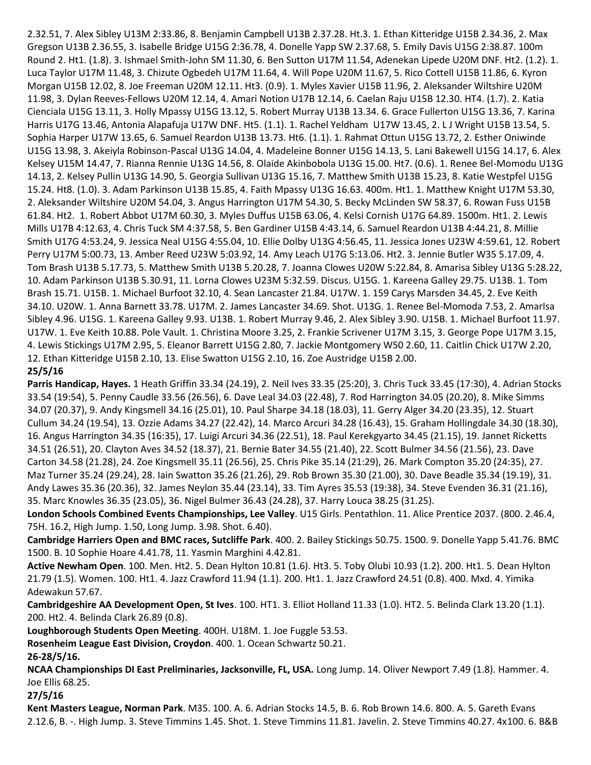2.32.51, 7. Alex Sibley U13M 2:33.86, 8. Benjamin Campbell U13B 2.37.28. Ht.3. 1. Ethan Kitteridge U15B 2.34.36, 2. Max Gregson U13B 2.36.55, 3. Isabelle Bridge U15G 2:36.78, 4. Donelle Yapp SW 2.37.68, 5. Emily Davis U15G 2:38.87. 100m Round 2. Ht1. (1.8). 3. Ishmael Smith-John SM 11.30, 6. Ben Sutton U17M 11.54, Adenekan Lipede U20M DNF. Ht2. (1.2). 1. Luca Taylor U17M 11.48, 3. Chizute Ogbedeh U17M 11.64, 4. Will Pope U20M 11.67, 5. Rico Cottell U15B 11.86, 6. Kyron Morgan U15B 12.02, 8. Joe Freeman U20M 12.11. Ht3. (0.9). 1. Myles Xavier U15B 11.96, 2. Aleksander Wiltshire U20M 11.98, 3. Dylan Reeves-Fellows U20M 12.14, 4. Amari Notion U17B 12.14, 6. Caelan Raju U15B 12.30. HT4. (1.7). 2. Katia Cienciala U15G 13.11, 3. Holly Mpassy U15G 13.12, 5. Robert Murray U13B 13.34. 6. Grace Fullerton U15G 13.36, 7. Karina Harris U17G 13.46, Antonia Alapafuja U17W DNF. Ht5. (1.1). 1. Rachel Yeldham U17W 13.45, 2. L J Wright U15B 13.54, 5. Sophia Harper U17W 13.65, 6. Samuel Reardon U13B 13.73. Ht6. (1.1). 1. Rahmat Ottun U15G 13.72, 2. Esther Oniwinde U15G 13.98, 3. Akeiyla Robinson-Pascal U13G 14.04, 4. Madeleine Bonner U15G 14.13, 5. Lani Bakewell U15G 14.17, 6. Alex Kelsey U15M 14.47, 7. Rianna Rennie U13G 14.56, 8. Olaide Akinbobola U13G 15.00. Ht7. (0.6). 1. Renee Bel-Momodu U13G 14.13, 2. Kelsey Pullin U13G 14.90, 5. Georgia Sullivan U13G 15.16, 7. Matthew Smith U13B 15.23, 8. Katie Westpfel U15G 15.24. Ht8. (1.0). 3. Adam Parkinson U13B 15.85, 4. Faith Mpassy U13G 16.63. 400m. Ht1. 1. Matthew Knight U17M 53.30, 2. Aleksander Wiltshire U20M 54.04, 3. Angus Harrington U17M 54.30, 5. Becky McLinden SW 58.37, 6. Rowan Fuss U15B 61.84. Ht2. 1. Robert Abbot U17M 60.30, 3. Myles Duffus U15B 63.06, 4. Kelsi Cornish U17G 64.89. 1500m. Ht1. 2. Lewis Mills U17B 4:12.63, 4. Chris Tuck SM 4:37.58, 5. Ben Gardiner U15B 4:43.14, 6. Samuel Reardon U13B 4:44.21, 8. Millie Smith U17G 4:53.24, 9. Jessica Neal U15G 4:55.04, 10. Ellie Dolby U13G 4:56.45, 11. Jessica Jones U23W 4:59.61, 12. Robert Perry U17M 5:00.73, 13. Amber Reed U23W 5:03.92, 14. Amy Leach U17G 5:13.06. Ht2. 3. Jennie Butler W35 5.17.09, 4. Tom Brash U13B 5.17.73, 5. Matthew Smith U13B 5.20.28, 7. Joanna Clowes U20W 5:22.84, 8. Amarisa Sibley U13G 5:28.22, 10. Adam Parkinson U13B 5.30.91, 11. Lorna Clowes U23M 5:32.59. Discus. U15G. 1. Kareena Galley 29.75. U13B. 1. Tom Brash 15.71. U15B. 1. Michael Burfoot 32.10, 4. Sean Lancaster 21.84. U17W. 1. 159 Carys Marsden 34.45, 2. Eve Keith 34.10. U20W. 1. Anna Barnett 33.78. U17M. 2. James Lancaster 34.69. Shot. U13G. 1. Renee Bel-Momoda 7.53, 2. AmarIsa Sibley 4.96. U15G. 1. Kareena Galley 9.93. U13B. 1. Robert Murray 9.46, 2. Alex Sibley 3.90. U15B. 1. Michael Burfoot 11.97. U17W. 1. Eve Keith 10.88. Pole Vault. 1. Christina Moore 3.25, 2. Frankie Scrivener U17M 3.15, 3. George Pope U17M 3.15, 4. Lewis Stickings U17M 2.95, 5. Eleanor Barrett U15G 2.80, 7. Jackie Montgomery W50 2.60, 11. Caitlin Chick U17W 2.20, 12. Ethan Kitteridge U15B 2.10, 13. Elise Swatton U15G 2.10, 16. Zoe Austridge U15B 2.00. **25/5/16**

**Parris Handicap, Hayes.** 1 Heath Griffin 33.34 (24.19), 2. Neil Ives 33.35 (25:20), 3. Chris Tuck 33.45 (17:30), 4. Adrian Stocks 33.54 (19:54), 5. Penny Caudle 33.56 (26.56), 6. Dave Leal 34.03 (22.48), 7. Rod Harrington 34.05 (20.20), 8. Mike Simms 34.07 (20.37), 9. Andy Kingsmell 34.16 (25.01), 10. Paul Sharpe 34.18 (18.03), 11. Gerry Alger 34.20 (23.35), 12. Stuart Cullum 34.24 (19.54), 13. Ozzie Adams 34.27 (22.42), 14. Marco Arcuri 34.28 (16.43), 15. Graham Hollingdale 34.30 (18.30), 16. Angus Harrington 34.35 (16:35), 17. Luigi Arcuri 34.36 (22.51), 18. Paul Kerekgyarto 34.45 (21.15), 19. Jannet Ricketts 34.51 (26.51), 20. Clayton Aves 34.52 (18.37), 21. Bernie Bater 34.55 (21.40), 22. Scott Bulmer 34.56 (21.56), 23. Dave Carton 34.58 (21.28), 24. Zoe Kingsmell 35.11 (26.56), 25. Chris Pike 35.14 (21:29), 26. Mark Compton 35.20 (24:35), 27. Maz Turner 35.24 (29.24), 28. Iain Swatton 35.26 (21.26), 29. Rob Brown 35.30 (21.00), 30. Dave Beadle 35.34 (19.19), 31. Andy Lawes 35.36 (20.36), 32. James Neylon 35.44 (23.14), 33. Tim Ayres 35.53 (19:38), 34. Steve Evenden 36.31 (21.16), 35. Marc Knowles 36.35 (23.05), 36. Nigel Bulmer 36.43 (24.28), 37. Harry Louca 38.25 (31.25).

**London Schools Combined Events Championships, Lee Valley**. U15 Girls. Pentathlon. 11. Alice Prentice 2037. (800. 2.46.4, 75H. 16.2, High Jump. 1.50, Long Jump. 3.98. Shot. 6.40).

**Cambridge Harriers Open and BMC races, Sutcliffe Park**. 400. 2. Bailey Stickings 50.75. 1500. 9. Donelle Yapp 5.41.76. BMC 1500. B. 10 Sophie Hoare 4.41.78, 11. Yasmin Marghini 4.42.81.

**Active Newham Open**. 100. Men. Ht2. 5. Dean Hylton 10.81 (1.6). Ht3. 5. Toby Olubi 10.93 (1.2). 200. Ht1. 5. Dean Hylton 21.79 (1.5). Women. 100. Ht1. 4. Jazz Crawford 11.94 (1.1). 200. Ht1. 1. Jazz Crawford 24.51 (0.8). 400. Mxd. 4. Yimika Adewakun 57.67.

**Cambridgeshire AA Development Open, St Ives**. 100. HT1. 3. Elliot Holland 11.33 (1.0). HT2. 5. Belinda Clark 13.20 (1.1). 200. Ht2. 4. Belinda Clark 26.89 (0.8).

**Loughborough Students Open Meeting**. 400H. U18M. 1. Joe Fuggle 53.53.

**Rosenheim League East Division, Croydon**. 400. 1. Ocean Schwartz 50.21.

**26-28/5/16.**

**NCAA Championships DI East Preliminaries, Jacksonville, FL, USA.** Long Jump. 14. Oliver Newport 7.49 (1.8). Hammer. 4. Joe Ellis 68.25.

**27/5/16**

**Kent Masters League, Norman Park**. M35. 100. A. 6. Adrian Stocks 14.5, B. 6. Rob Brown 14.6. 800. A. 5. Gareth Evans 2.12.6, B. -. High Jump. 3. Steve Timmins 1.45. Shot. 1. Steve Timmins 11.81. Javelin. 2. Steve Timmins 40.27. 4x100. 6. B&B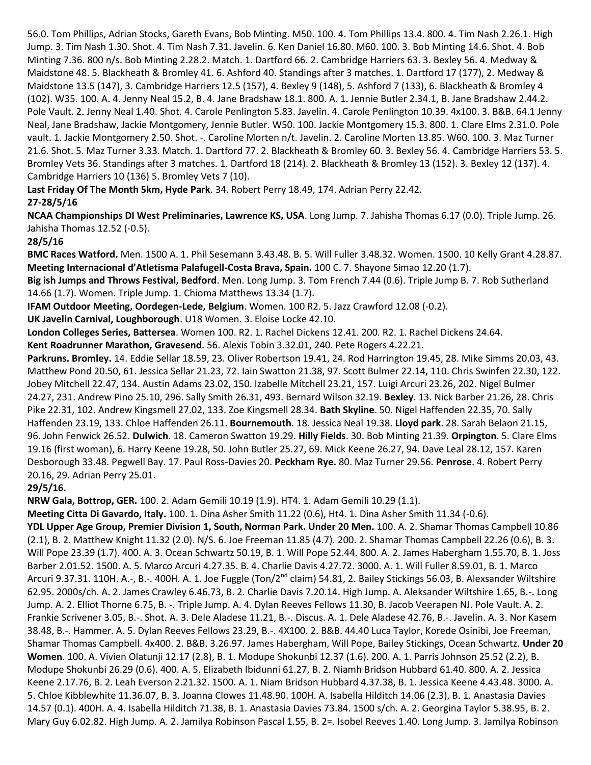56.0. Tom Phillips, Adrian Stocks, Gareth Evans, Bob Minting. M50. 100. 4. Tom Phillips 13.4. 800. 4. Tim Nash 2.26.1. High Jump. 3. Tim Nash 1.30. Shot. 4. Tim Nash 7.31. Javelin. 6. Ken Daniel 16.80. M60. 100. 3. Bob Minting 14.6. Shot. 4. Bob Minting 7.36. 800 n/s. Bob Minting 2.28.2. Match. 1. Dartford 66. 2. Cambridge Harriers 63. 3. Bexley 56. 4. Medway & Maidstone 48. 5. Blackheath & Bromley 41. 6. Ashford 40. Standings after 3 matches. 1. Dartford 17 (177), 2. Medway & Maidstone 13.5 (147), 3. Cambridge Harriers 12.5 (157), 4. Bexley 9 (148), 5. Ashford 7 (133), 6. Blackheath & Bromley 4 (102). W35. 100. A. 4. Jenny Neal 15.2, B. 4. Jane Bradshaw 18.1. 800. A. 1. Jennie Butler 2.34.1, B. Jane Bradshaw 2.44.2. Pole Vault. 2. Jenny Neal 1.40. Shot. 4. Carole Penlington 5.83. Javelin. 4. Carole Penlington 10.39. 4x100. 3. B&B. 64.1 Jenny Neal, Jane Bradshaw, Jackie Montgomery, Jennie Butler. W50. 100. Jackie Montgomery 15.3. 800. 1. Clare Elms 2.31.0. Pole vault. 1. Jackie Montgomery 2.50. Shot. -. Caroline Morten n/t. Javelin. 2. Caroline Morten 13.85. W60. 100. 3. Maz Turner 21.6. Shot. 5. Maz Turner 3.33. Match. 1. Dartford 77. 2. Blackheath & Bromley 60. 3. Bexley 56. 4. Cambridge Harriers 53. 5. Bromley Vets 36. Standings after 3 matches. 1. Dartford 18 (214). 2. Blackheath & Bromley 13 (152). 3. Bexley 12 (137). 4. Cambridge Harriers 10 (136) 5. Bromley Vets 7 (10).

**Last Friday Of The Month 5km, Hyde Park**. 34. Robert Perry 18.49, 174. Adrian Perry 22.42.

# **27-28/5/16**

**NCAA Championships DI West Preliminaries, Lawrence KS, USA**. Long Jump. 7. Jahisha Thomas 6.17 (0.0). Triple Jump. 26. Jahisha Thomas 12.52 (-0.5).

### **28/5/16**

**BMC Races Watford.** Men. 1500 A. 1. Phil Sesemann 3.43.48. B. 5. Will Fuller 3.48.32. Women. 1500. 10 Kelly Grant 4.28.87. **Meeting Internacional d'Atletisma Palafugell-Costa Brava, Spain.** 100 C. 7. Shayone Simao 12.20 (1.7).

**Big ish Jumps and Throws Festival, Bedford**. Men. Long Jump. 3. Tom French 7.44 (0.6). Triple Jump B. 7. Rob Sutherland 14.66 (1.7). Women. Triple Jump. 1. Chioma Matthews 13.34 (1.7).

**IFAM Outdoor Meeting, Oordegen-Lede, Belgium**. Women. 100 R2. 5. Jazz Crawford 12.08 (-0.2).

**UK Javelin Carnival, Loughborough**. U18 Women. 3. Eloise Locke 42.10.

**London Colleges Series, Battersea**. Women 100. R2. 1. Rachel Dickens 12.41. 200. R2. 1. Rachel Dickens 24.64.

**Kent Roadrunner Marathon, Gravesend**. 56. Alexis Tobin 3.32.01, 240. Pete Rogers 4.22.21.

**Parkruns. Bromley.** 14. Eddie Sellar 18.59, 23. Oliver Robertson 19.41, 24. Rod Harrington 19.45, 28. Mike Simms 20.03, 43. Matthew Pond 20.50, 61. Jessica Sellar 21.23, 72. Iain Swatton 21.38, 97. Scott Bulmer 22.14, 110. Chris Swinfen 22.30, 122. Jobey Mitchell 22.47, 134. Austin Adams 23.02, 150. Izabelle Mitchell 23.21, 157. Luigi Arcuri 23.26, 202. Nigel Bulmer 24.27, 231. Andrew Pino 25.10, 296. Sally Smith 26.31, 493. Bernard Wilson 32.19. **Bexley**. 13. Nick Barber 21.26, 28. Chris Pike 22.31, 102. Andrew Kingsmell 27.02, 133. Zoe Kingsmell 28.34. **Bath Skyline**. 50. Nigel Haffenden 22.35, 70. Sally Haffenden 23.19, 133. Chloe Haffenden 26.11. **Bournemouth**. 18. Jessica Neal 19.38. **Lloyd park**. 28. Sarah Belaon 21.15, 96. John Fenwick 26.52. **Dulwich**. 18. Cameron Swatton 19.29. **Hilly Fields**. 30. Bob Minting 21.39. **Orpington**. 5. Clare Elms 19.16 (first woman), 6. Harry Keene 19.28, 50. John Butler 25.27, 69. Mick Keene 26.27, 94. Dave Leal 28.12, 157. Karen Desborough 33.48. Pegwell Bay. 17. Paul Ross-Davies 20. **Peckham Rye.** 80. Maz Turner 29.56. **Penrose**. 4. Robert Perry 20.16, 29. Adrian Perry 25.01.

### **29/5/16.**

**NRW Gala, Bottrop, GER.** 100. 2. Adam Gemili 10.19 (1.9). HT4. 1. Adam Gemili 10.29 (1.1).

**Meeting Citta Di Gavardo, Italy.** 100. 1. Dina Asher Smith 11.22 (0.6), Ht4. 1. Dina Asher Smith 11.34 (-0.6).

**YDL Upper Age Group, Premier Division 1, South, Norman Park. Under 20 Men.** 100. A. 2. Shamar Thomas Campbell 10.86 (2.1), B. 2. Matthew Knight 11.32 (2.0). N/S. 6. Joe Freeman 11.85 (4.7). 200. 2. Shamar Thomas Campbell 22.26 (0.6), B. 3. Will Pope 23.39 (1.7). 400. A. 3. Ocean Schwartz 50.19, B. 1. Will Pope 52.44. 800. A. 2. James Habergham 1.55.70, B. 1. Joss Barber 2.01.52. 1500. A. 5. Marco Arcuri 4.27.35. B. 4. Charlie Davis 4.27.72. 3000. A. 1. Will Fuller 8.59.01, B. 1. Marco Arcuri 9.37.31. 110H. A.-, B.-. 400H. A. 1. Joe Fuggle (Ton/2<sup>nd</sup> claim) 54.81, 2. Bailey Stickings 56.03, B. Alexsander Wiltshire 62.95. 2000s/ch. A. 2. James Crawley 6.46.73, B. 2. Charlie Davis 7.20.14. High Jump. A. Aleksander Wiltshire 1.65, B.-. Long Jump. A. 2. Elliot Thorne 6.75, B. -. Triple Jump. A. 4. Dylan Reeves Fellows 11.30, B. Jacob Veerapen NJ. Pole Vault. A. 2. Frankie Scrivener 3.05, B.-. Shot. A. 3. Dele Aladese 11.21, B.-. Discus. A. 1. Dele Aladese 42.76, B.-. Javelin. A. 3. Nor Kasem 38.48, B.-. Hammer. A. 5. Dylan Reeves Fellows 23.29, B.-. 4X100. 2. B&B. 44.40 Luca Taylor, Korede Osinibi, Joe Freeman, Shamar Thomas Campbell. 4x400. 2. B&B. 3.26.97. James Habergham, Will Pope, Bailey Stickings, Ocean Schwartz. **Under 20 Women**. 100. A. Vivien Olatunji 12.17 (2.8), B. 1. Modupe Shokunbi 12.37 (1.6). 200. A. 1. Parris Johnson 25.52 (2.2), B. Modupe Shokunbi 26.29 (0.6). 400. A. 5. Elizabeth Ibidunni 61.27, B. 2. Niamh Bridson Hubbard 61.40. 800. A. 2. Jessica Keene 2.17.76, B. 2. Leah Everson 2.21.32. 1500. A. 1. Niam Bridson Hubbard 4.37.38, B. 1. Jessica Keene 4.43.48. 3000. A. 5. Chloe Kibblewhite 11.36.07, B. 3. Joanna Clowes 11.48.90. 100H. A. Isabella Hilditch 14.06 (2.3), B. 1. Anastasia Davies 14.57 (0.1). 400H. A. 4. Isabella Hilditch 71.38, B. 1. Anastasia Davies 73.84. 1500 s/ch. A. 2. Georgina Taylor 5.38.95, B. 2. Mary Guy 6.02.82. High Jump. A. 2. Jamilya Robinson Pascal 1.55, B. 2=. Isobel Reeves 1.40. Long Jump. 3. Jamilya Robinson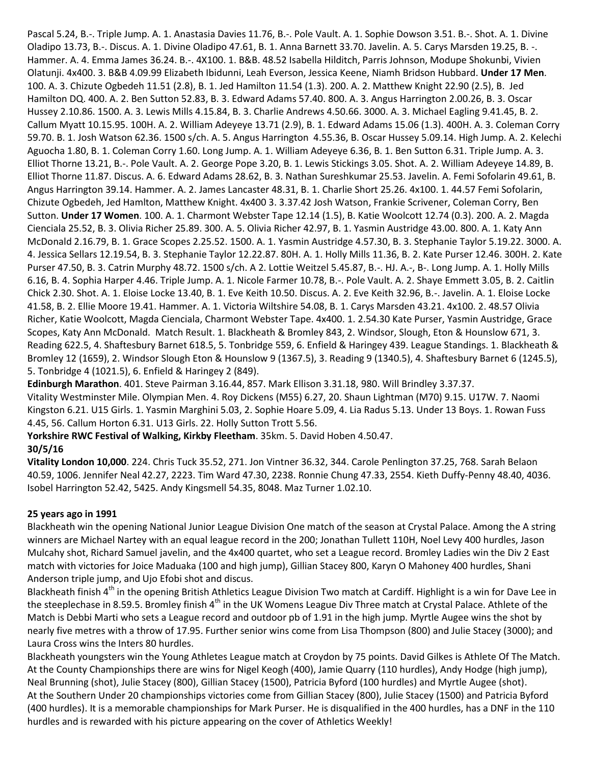Pascal 5.24, B.-. Triple Jump. A. 1. Anastasia Davies 11.76, B.-. Pole Vault. A. 1. Sophie Dowson 3.51. B.-. Shot. A. 1. Divine Oladipo 13.73, B.-. Discus. A. 1. Divine Oladipo 47.61, B. 1. Anna Barnett 33.70. Javelin. A. 5. Carys Marsden 19.25, B. -. Hammer. A. 4. Emma James 36.24. B.-. 4X100. 1. B&B. 48.52 Isabella Hilditch, Parris Johnson, Modupe Shokunbi, Vivien Olatunji. 4x400. 3. B&B 4.09.99 Elizabeth Ibidunni, Leah Everson, Jessica Keene, Niamh Bridson Hubbard. **Under 17 Men**. 100. A. 3. Chizute Ogbedeh 11.51 (2.8), B. 1. Jed Hamilton 11.54 (1.3). 200. A. 2. Matthew Knight 22.90 (2.5), B. Jed Hamilton DQ. 400. A. 2. Ben Sutton 52.83, B. 3. Edward Adams 57.40. 800. A. 3. Angus Harrington 2.00.26, B. 3. Oscar Hussey 2.10.86. 1500. A. 3. Lewis Mills 4.15.84, B. 3. Charlie Andrews 4.50.66. 3000. A. 3. Michael Eagling 9.41.45, B. 2. Callum Myatt 10.15.95. 100H. A. 2. William Adeyeye 13.71 (2.9), B. 1. Edward Adams 15.06 (1.3). 400H. A. 3. Coleman Corry 59.70. B. 1. Josh Watson 62.36. 1500 s/ch. A. 5. Angus Harrington 4.55.36, B. Oscar Hussey 5.09.14. High Jump. A. 2. Kelechi Aguocha 1.80, B. 1. Coleman Corry 1.60. Long Jump. A. 1. William Adeyeye 6.36, B. 1. Ben Sutton 6.31. Triple Jump. A. 3. Elliot Thorne 13.21, B.-. Pole Vault. A. 2. George Pope 3.20, B. 1. Lewis Stickings 3.05. Shot. A. 2. William Adeyeye 14.89, B. Elliot Thorne 11.87. Discus. A. 6. Edward Adams 28.62, B. 3. Nathan Sureshkumar 25.53. Javelin. A. Femi Sofolarin 49.61, B. Angus Harrington 39.14. Hammer. A. 2. James Lancaster 48.31, B. 1. Charlie Short 25.26. 4x100. 1. 44.57 Femi Sofolarin, Chizute Ogbedeh, Jed Hamlton, Matthew Knight. 4x400 3. 3.37.42 Josh Watson, Frankie Scrivener, Coleman Corry, Ben Sutton. **Under 17 Women**. 100. A. 1. Charmont Webster Tape 12.14 (1.5), B. Katie Woolcott 12.74 (0.3). 200. A. 2. Magda Cienciala 25.52, B. 3. Olivia Richer 25.89. 300. A. 5. Olivia Richer 42.97, B. 1. Yasmin Austridge 43.00. 800. A. 1. Katy Ann McDonald 2.16.79, B. 1. Grace Scopes 2.25.52. 1500. A. 1. Yasmin Austridge 4.57.30, B. 3. Stephanie Taylor 5.19.22. 3000. A. 4. Jessica Sellars 12.19.54, B. 3. Stephanie Taylor 12.22.87. 80H. A. 1. Holly Mills 11.36, B. 2. Kate Purser 12.46. 300H. 2. Kate Purser 47.50, B. 3. Catrin Murphy 48.72. 1500 s/ch. A 2. Lottie Weitzel 5.45.87, B.-. HJ. A.-, B-. Long Jump. A. 1. Holly Mills 6.16, B. 4. Sophia Harper 4.46. Triple Jump. A. 1. Nicole Farmer 10.78, B.-. Pole Vault. A. 2. Shaye Emmett 3.05, B. 2. Caitlin Chick 2.30. Shot. A. 1. Eloise Locke 13.40, B. 1. Eve Keith 10.50. Discus. A. 2. Eve Keith 32.96, B.-. Javelin. A. 1. Eloise Locke 41.58, B. 2. Ellie Moore 19.41. Hammer. A. 1. Victoria Wiltshire 54.08, B. 1. Carys Marsden 43.21. 4x100. 2. 48.57 Olivia Richer, Katie Woolcott, Magda Cienciala, Charmont Webster Tape. 4x400. 1. 2.54.30 Kate Purser, Yasmin Austridge, Grace Scopes, Katy Ann McDonald. Match Result. 1. Blackheath & Bromley 843, 2. Windsor, Slough, Eton & Hounslow 671, 3. Reading 622.5, 4. Shaftesbury Barnet 618.5, 5. Tonbridge 559, 6. Enfield & Haringey 439. League Standings. 1. Blackheath & Bromley 12 (1659), 2. Windsor Slough Eton & Hounslow 9 (1367.5), 3. Reading 9 (1340.5), 4. Shaftesbury Barnet 6 (1245.5), 5. Tonbridge 4 (1021.5), 6. Enfield & Haringey 2 (849).

**Edinburgh Marathon**. 401. Steve Pairman 3.16.44, 857. Mark Ellison 3.31.18, 980. Will Brindley 3.37.37. Vitality Westminster Mile. Olympian Men. 4. Roy Dickens (M55) 6.27, 20. Shaun Lightman (M70) 9.15. U17W. 7. Naomi Kingston 6.21. U15 Girls. 1. Yasmin Marghini 5.03, 2. Sophie Hoare 5.09, 4. Lia Radus 5.13. Under 13 Boys. 1. Rowan Fuss 4.45, 56. Callum Horton 6.31. U13 Girls. 22. Holly Sutton Trott 5.56.

**Yorkshire RWC Festival of Walking, Kirkby Fleetham**. 35km. 5. David Hoben 4.50.47. **30/5/16**

**Vitality London 10,000**. 224. Chris Tuck 35.52, 271. Jon Vintner 36.32, 344. Carole Penlington 37.25, 768. Sarah Belaon 40.59, 1006. Jennifer Neal 42.27, 2223. Tim Ward 47.30, 2238. Ronnie Chung 47.33, 2554. Kieth Duffy-Penny 48.40, 4036. Isobel Harrington 52.42, 5425. Andy Kingsmell 54.35, 8048. Maz Turner 1.02.10.

### **25 years ago in 1991**

Blackheath win the opening National Junior League Division One match of the season at Crystal Palace. Among the A string winners are Michael Nartey with an equal league record in the 200; Jonathan Tullett 110H, Noel Levy 400 hurdles, Jason Mulcahy shot, Richard Samuel javelin, and the 4x400 quartet, who set a League record. Bromley Ladies win the Div 2 East match with victories for Joice Maduaka (100 and high jump), Gillian Stacey 800, Karyn O Mahoney 400 hurdles, Shani Anderson triple jump, and Ujo Efobi shot and discus.

Blackheath finish 4<sup>th</sup> in the opening British Athletics League Division Two match at Cardiff. Highlight is a win for Dave Lee in the steeplechase in 8.59.5. Bromley finish 4<sup>th</sup> in the UK Womens League Div Three match at Crystal Palace. Athlete of the Match is Debbi Marti who sets a League record and outdoor pb of 1.91 in the high jump. Myrtle Augee wins the shot by nearly five metres with a throw of 17.95. Further senior wins come from Lisa Thompson (800) and Julie Stacey (3000); and Laura Cross wins the Inters 80 hurdles.

Blackheath youngsters win the Young Athletes League match at Croydon by 75 points. David Gilkes is Athlete Of The Match. At the County Championships there are wins for Nigel Keogh (400), Jamie Quarry (110 hurdles), Andy Hodge (high jump), Neal Brunning (shot), Julie Stacey (800), Gillian Stacey (1500), Patricia Byford (100 hurdles) and Myrtle Augee (shot). At the Southern Under 20 championships victories come from Gillian Stacey (800), Julie Stacey (1500) and Patricia Byford (400 hurdles). It is a memorable championships for Mark Purser. He is disqualified in the 400 hurdles, has a DNF in the 110 hurdles and is rewarded with his picture appearing on the cover of Athletics Weekly!